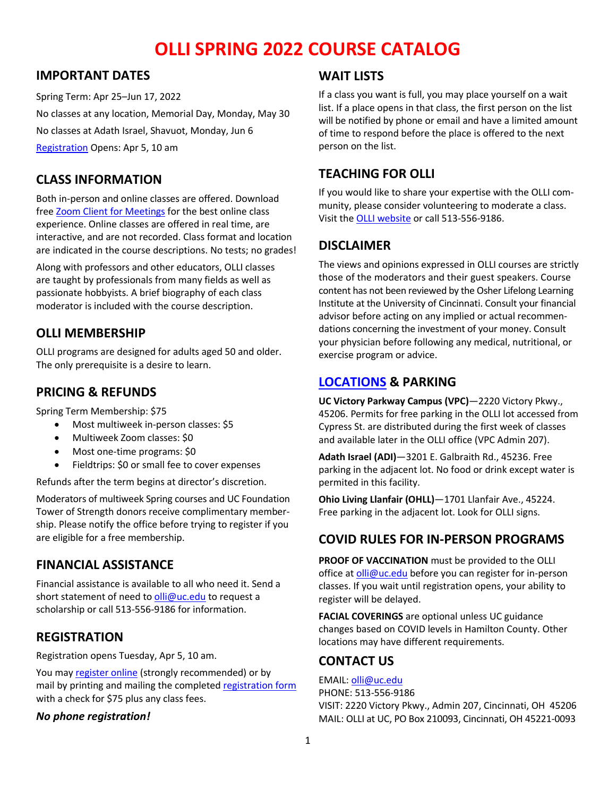# **OLLI SPRING 2022 COURSE CATALOG**

# **IMPORTANT DATES**

Spring Term: Apr 25–Jun 17, 2022 No classes at any location, Memorial Day, Monday, May 30 No classes at Adath Israel, Shavuot, Monday, Jun 6 [Registration](https://www.uc.edu/about/continuing-ed/olli/register.html) Opens: Apr 5, 10 am

# **CLASS INFORMATION**

Both in-person and online classes are offered. Download free Zoom Client [for Meetings](https://zoom.us/download) for the best online class experience. Online classes are offered in real time, are interactive, and are not recorded. Class format and location are indicated in the course descriptions. No tests; no grades!

Along with professors and other educators, OLLI classes are taught by professionals from many fields as well as passionate hobbyists. A brief biography of each class moderator is included with the course description.

# **OLLI MEMBERSHIP**

OLLI programs are designed for adults aged 50 and older. The only prerequisite is a desire to learn.

# **PRICING & REFUNDS**

Spring Term Membership: \$75

- Most multiweek in-person classes: \$5
- Multiweek Zoom classes: \$0
- Most one-time programs: \$0
- Fieldtrips: \$0 or small fee to cover expenses

Refunds after the term begins at director's discretion.

Moderators of multiweek Spring courses and UC Foundation Tower of Strength donors receive complimentary membership. Please notify the office before trying to register if you are eligible for a free membership.

# **FINANCIAL ASSISTANCE**

Financial assistance is available to all who need it. Send a short statement of need t[o olli@uc.edu](mailto:olli@uc.edu) to request a scholarship or call 513-556-9186 for information.

# **REGISTRATION**

Registration opens Tuesday, Apr 5, 10 am.

You may [register online](https://www.uc.edu/about/continuing-ed/olli/register.html) (strongly recommended) or by mail by printing and mailing the completed [registration form](https://uc.edu/content/dam/refresh/cont-ed-62/olli/regform-w22.pdf) with a check for \$75 plus any class fees.

#### *No phone registration!*

# **WAIT LISTS**

If a class you want is full, you may place yourself on a wait list. If a place opens in that class, the first person on the list will be notified by phone or email and have a limited amount of time to respond before the place is offered to the next person on the list.

# **TEACHING FOR OLLI**

If you would like to share your expertise with the OLLI community, please consider volunteering to moderate a class. Visit the [OLLI website](https://www.uc.edu/about/continuing-ed/olli/teach.html) or call 513-556-9186.

# **DISCLAIMER**

The views and opinions expressed in OLLI courses are strictly those of the moderators and their guest speakers. Course content has not been reviewed by the Osher Lifelong Learning Institute at the University of Cincinnati. Consult your financial advisor before acting on any implied or actual recommendations concerning the investment of your money. Consult your physician before following any medical, nutritional, or exercise program or advice.

# **[LOCATIONS](https://www.uc.edu/about/continuing-ed/olli/about/locations.html) & PARKING**

**UC Victory Parkway Campus (VPC)**—2220 Victory Pkwy., 45206. Permits for free parking in the OLLI lot accessed from Cypress St. are distributed during the first week of classes and available later in the OLLI office (VPC Admin 207).

**Adath Israel (ADI)**—3201 E. Galbraith Rd., 45236. Free parking in the adjacent lot. No food or drink except water is permited in this facility.

**Ohio Living Llanfair (OHLL)**—1701 Llanfair Ave., 45224. Free parking in the adjacent lot. Look for OLLI signs.

# **COVID RULES FOR IN-PERSON PROGRAMS**

**PROOF OF VACCINATION** must be provided to the OLLI office at  $olli@uc.edu$  before you can register for in-person classes. If you wait until registration opens, your ability to register will be delayed.

**FACIAL COVERINGS** are optional unless UC guidance changes based on COVID levels in Hamilton County. Other locations may have different requirements.

# **CONTACT US**

EMAIL: [olli@uc.edu](mailto:olli@uc.edu) PHONE: 513-556-9186 VISIT: 2220 Victory Pkwy., Admin 207, Cincinnati, OH 45206 MAIL: OLLI at UC, PO Box 210093, Cincinnati, OH 45221-0093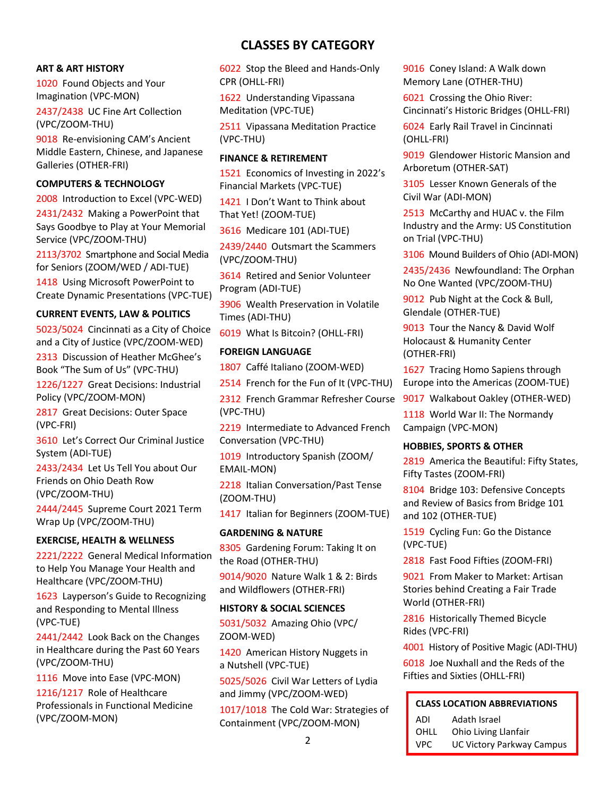#### **ART & ART HISTORY**

1020 Found Objects and Your Imagination (VPC-MON)

2437/2438 UC Fine Art Collection (VPC/ZOOM-THU)

9018 Re-envisioning CAM's Ancient Middle Eastern, Chinese, and Japanese Galleries (OTHER-FRI)

# **COMPUTERS & TECHNOLOGY**

2008 Introduction to Excel (VPC-WED)

2431/2432 Making a PowerPoint that Says Goodbye to Play at Your Memorial Service (VPC/ZOOM-THU)

2113/3702 Smartphone and Social Media for Seniors (ZOOM/WED / ADI-TUE)

1418 Using Microsoft PowerPoint to Create Dynamic Presentations (VPC-TUE)

#### **CURRENT EVENTS, LAW & POLITICS**

5023/5024 Cincinnati as a City of Choice and a City of Justice (VPC/ZOOM-WED)

2313 Discussion of Heather McGhee's Book "The Sum of Us" (VPC-THU)

1226/1227 Great Decisions: Industrial Policy (VPC/ZOOM-MON)

2817 Great Decisions: Outer Space (VPC-FRI)

3610 Let's Correct Our Criminal Justice System (ADI-TUE)

2433/2434 Let Us Tell You about Our Friends on Ohio Death Row (VPC/ZOOM-THU)

2444/2445 Supreme Court 2021 Term Wrap Up (VPC/ZOOM-THU)

#### **EXERCISE, HEALTH & WELLNESS**

2221/2222 General Medical Information to Help You Manage Your Health and Healthcare (VPC/ZOOM-THU)

1623 Layperson's Guide to Recognizing and Responding to Mental Illness (VPC-TUE)

2441/2442 Look Back on the Changes in Healthcare during the Past 60 Years (VPC/ZOOM-THU)

1116 Move into Ease (VPC-MON) 1216/1217 Role of Healthcare Professionals in Functional Medicine (VPC/ZOOM-MON)

# **CLASSES BY CATEGORY**

6022 Stop the Bleed and Hands-Only CPR (OHLL-FRI)

1622 Understanding Vipassana Meditation (VPC-TUE)

2511 Vipassana Meditation Practice (VPC-THU)

#### **FINANCE & RETIREMENT**

1521 Economics of Investing in 2022's Financial Markets (VPC-TUE)

1421 I Don't Want to Think about That Yet! (ZOOM-TUE)

3616 Medicare 101 (ADI-TUE)

2439/2440 Outsmart the Scammers (VPC/ZOOM-THU)

3614 Retired and Senior Volunteer Program (ADI-TUE)

3906 Wealth Preservation in Volatile Times (ADI-THU)

6019 What Is Bitcoin? (OHLL-FRI)

#### **FOREIGN LANGUAGE**

1807 Caffé Italiano (ZOOM-WED)

2514 French for the Fun of It (VPC-THU)

2312 French Grammar Refresher Course (VPC-THU)

2219 Intermediate to Advanced French Conversation (VPC-THU)

1019 Introductory Spanish (ZOOM/ EMAIL-MON)

2218 Italian Conversation/Past Tense (ZOOM-THU)

1417 Italian for Beginners (ZOOM-TUE)

#### **GARDENING & NATURE**

8305 Gardening Forum: Taking It on the Road (OTHER-THU)

9014/9020 Nature Walk 1 & 2: Birds and Wildflowers (OTHER-FRI)

#### **HISTORY & SOCIAL SCIENCES**

5031/5032 Amazing Ohio (VPC/ ZOOM-WED)

1420 American History Nuggets in a Nutshell (VPC-TUE)

5025/5026 Civil War Letters of Lydia and Jimmy (VPC/ZOOM-WED)

1017/1018 The Cold War: Strategies of Containment (VPC/ZOOM-MON)

9016 Coney Island: A Walk down Memory Lane (OTHER-THU)

6021 Crossing the Ohio River: Cincinnati's Historic Bridges (OHLL-FRI)

6024 Early Rail Travel in Cincinnati (OHLL-FRI)

9019 Glendower Historic Mansion and Arboretum (OTHER-SAT)

3105 Lesser Known Generals of the Civil War (ADI-MON)

2513 McCarthy and HUAC v. the Film Industry and the Army: US Constitution on Trial (VPC-THU)

3106 Mound Builders of Ohio (ADI-MON)

2435/2436 Newfoundland: The Orphan No One Wanted (VPC/ZOOM-THU)

9012 Pub Night at the Cock & Bull, Glendale (OTHER-TUE)

9013 Tour the Nancy & David Wolf Holocaust & Humanity Center (OTHER-FRI)

1627 Tracing Homo Sapiens through Europe into the Americas (ZOOM-TUE)

9017 Walkabout Oakley (OTHER-WED)

1118 World War II: The Normandy Campaign (VPC-MON)

#### **HOBBIES, SPORTS & OTHER**

2819 America the Beautiful: Fifty States, Fifty Tastes (ZOOM-FRI)

8104 Bridge 103: Defensive Concepts and Review of Basics from Bridge 101 and 102 (OTHER-TUE)

1519 Cycling Fun: Go the Distance (VPC-TUE)

2818 Fast Food Fifties (ZOOM-FRI)

9021 From Maker to Market: Artisan Stories behind Creating a Fair Trade World (OTHER-FRI)

2816 Historically Themed Bicycle Rides (VPC-FRI)

4001 History of Positive Magic (ADI-THU)

6018 Joe Nuxhall and the Reds of the Fifties and Sixties (OHLL-FRI)

# **CLASS LOCATION ABBREVIATIONS**

ADI Adath Israel

- OHLL Ohio Living Llanfair
- VPC UC Victory Parkway Campus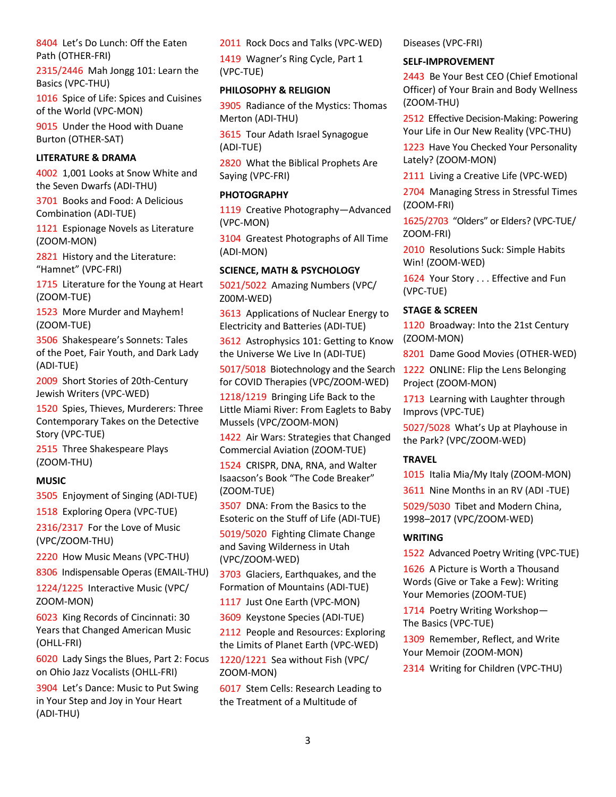8404 Let's Do Lunch: Off the Eaten Path (OTHER-FRI)

2315/2446 Mah Jongg 101: Learn the Basics (VPC-THU)

1016 Spice of Life: Spices and Cuisines of the World (VPC-MON)

9015 Under the Hood with Duane Burton (OTHER-SAT)

# **LITERATURE & DRAMA**

4002 1,001 Looks at Snow White and the Seven Dwarfs (ADI-THU)

3701 Books and Food: A Delicious Combination (ADI-TUE)

1121 Espionage Novels as Literature (ZOOM-MON)

2821 History and the Literature: "Hamnet" (VPC-FRI)

1715 Literature for the Young at Heart (ZOOM-TUE)

1523 More Murder and Mayhem! (ZOOM-TUE)

3506 Shakespeare's Sonnets: Tales of the Poet, Fair Youth, and Dark Lady (ADI-TUE)

2009 Short Stories of 20th-Century Jewish Writers (VPC-WED)

1520 Spies, Thieves, Murderers: Three Contemporary Takes on the Detective Story (VPC-TUE)

2515 Three Shakespeare Plays (ZOOM-THU)

#### **MUSIC**

3505 Enjoyment of Singing (ADI-TUE)

1518 Exploring Opera (VPC-TUE)

2316/2317 For the Love of Music (VPC/ZOOM-THU)

2220 How Music Means (VPC-THU)

8306 Indispensable Operas (EMAIL-THU)

1224/1225 Interactive Music (VPC/ ZOOM-MON)

6023 King Records of Cincinnati: 30 Years that Changed American Music (OHLL-FRI)

6020 Lady Sings the Blues, Part 2: Focus on Ohio Jazz Vocalists (OHLL-FRI)

3904 Let's Dance: Music to Put Swing in Your Step and Joy in Your Heart (ADI-THU)

2011 Rock Docs and Talks (VPC-WED)

1419 Wagner's Ring Cycle, Part 1 (VPC-TUE)

#### **PHILOSOPHY & RELIGION**

3905 Radiance of the Mystics: Thomas Merton (ADI-THU)

3615 Tour Adath Israel Synagogue (ADI-TUE)

2820 What the Biblical Prophets Are Saying (VPC-FRI)

#### **PHOTOGRAPHY**

1119 Creative Photography—Advanced (VPC-MON)

3104 Greatest Photographs of All Time (ADI-MON)

# **SCIENCE, MATH & PSYCHOLOGY**

5021/5022 Amazing Numbers (VPC/ Z00M-WED)

3613 Applications of Nuclear Energy to Electricity and Batteries (ADI-TUE)

3612 Astrophysics 101: Getting to Know the Universe We Live In (ADI-TUE)

5017/5018 Biotechnology and the Search for COVID Therapies (VPC/ZOOM-WED)

1218/1219 Bringing Life Back to the Little Miami River: From Eaglets to Baby Mussels (VPC/ZOOM-MON)

1422 Air Wars: Strategies that Changed Commercial Aviation (ZOOM-TUE)

1524 CRISPR, DNA, RNA, and Walter Isaacson's Book "The Code Breaker" (ZOOM-TUE)

3507 DNA: From the Basics to the Esoteric on the Stuff of Life (ADI-TUE)

5019/5020 Fighting Climate Change and Saving Wilderness in Utah (VPC/ZOOM-WED)

3703 Glaciers, Earthquakes, and the Formation of Mountains (ADI-TUE)

1117 Just One Earth (VPC-MON)

3609 Keystone Species (ADI-TUE)

2112 People and Resources: Exploring the Limits of Planet Earth (VPC-WED)

1220/1221 Sea without Fish (VPC/ ZOOM-MON)

6017 Stem Cells: Research Leading to the Treatment of a Multitude of

Diseases (VPC-FRI)

# **SELF-IMPROVEMENT**

2443 Be Your Best CEO (Chief Emotional Officer) of Your Brain and Body Wellness (ZOOM-THU)

2512 Effective Decision-Making: Powering Your Life in Our New Reality (VPC-THU)

1223 Have You Checked Your Personality Lately? (ZOOM-MON)

2111 Living a Creative Life (VPC-WED)

2704 Managing Stress in Stressful Times (ZOOM-FRI)

1625/2703 "Olders" or Elders? (VPC-TUE/ ZOOM-FRI)

2010 Resolutions Suck: Simple Habits Win! (ZOOM-WED)

1624 Your Story . . . Effective and Fun (VPC-TUE)

#### **STAGE & SCREEN**

1120 Broadway: Into the 21st Century (ZOOM-MON)

8201 Dame Good Movies (OTHER-WED)

1222 ONLINE: Flip the Lens Belonging Project (ZOOM-MON)

1713 Learning with Laughter through Improvs (VPC-TUE)

5027/5028 What's Up at Playhouse in the Park? (VPC/ZOOM-WED)

# **TRAVEL**

1015 Italia Mia/My Italy (ZOOM-MON)

3611 Nine Months in an RV (ADI -TUE)

5029/5030 Tibet and Modern China, 1998–2017 (VPC/ZOOM-WED)

#### **WRITING**

1522 Advanced Poetry Writing (VPC-TUE)

1626 A Picture is Worth a Thousand Words (Give or Take a Few): Writing Your Memories (ZOOM-TUE)

1714 Poetry Writing Workshop— The Basics (VPC-TUE)

1309 Remember, Reflect, and Write Your Memoir (ZOOM-MON)

2314 Writing for Children (VPC-THU)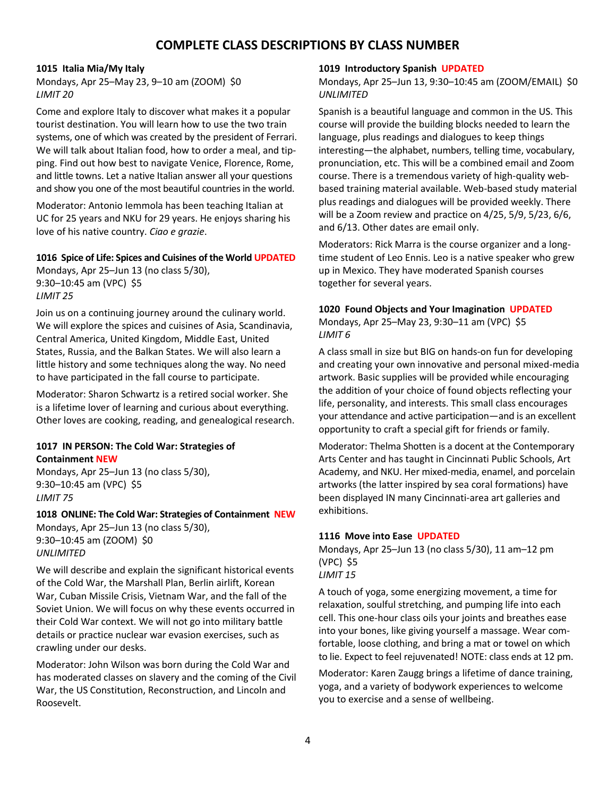# **COMPLETE CLASS DESCRIPTIONS BY CLASS NUMBER**

#### **1015 Italia Mia/My Italy**

Mondays, Apr 25–May 23, 9–10 am (ZOOM) \$0 *LIMIT 20*

Come and explore Italy to discover what makes it a popular tourist destination. You will learn how to use the two train systems, one of which was created by the president of Ferrari. We will talk about Italian food, how to order a meal, and tipping. Find out how best to navigate Venice, Florence, Rome, and little towns. Let a native Italian answer all your questions and show you one of the most beautiful countries in the world.

Moderator: Antonio Iemmola has been teaching Italian at UC for 25 years and NKU for 29 years. He enjoys sharing his love of his native country. *Ciao e grazie*.

#### **1016 Spice of Life: Spices and Cuisines of the World UPDATED**

Mondays, Apr 25–Jun 13 (no class 5/30), 9:30–10:45 am (VPC) \$5 *LIMIT 25*

Join us on a continuing journey around the culinary world. We will explore the spices and cuisines of Asia, Scandinavia, Central America, United Kingdom, Middle East, United States, Russia, and the Balkan States. We will also learn a little history and some techniques along the way. No need to have participated in the fall course to participate.

Moderator: Sharon Schwartz is a retired social worker. She is a lifetime lover of learning and curious about everything. Other loves are cooking, reading, and genealogical research.

#### **1017 IN PERSON: The Cold War: Strategies of Containment NEW**

Mondays, Apr 25–Jun 13 (no class 5/30), 9:30–10:45 am (VPC) \$5 *LIMIT 75*

**1018 ONLINE: The Cold War: Strategies of Containment NEW** Mondays, Apr 25–Jun 13 (no class 5/30), 9:30–10:45 am (ZOOM) \$0 *UNLIMITED*

We will describe and explain the significant historical events of the Cold War, the Marshall Plan, Berlin airlift, Korean War, Cuban Missile Crisis, Vietnam War, and the fall of the Soviet Union. We will focus on why these events occurred in their Cold War context. We will not go into military battle details or practice nuclear war evasion exercises, such as crawling under our desks.

Moderator: John Wilson was born during the Cold War and has moderated classes on slavery and the coming of the Civil War, the US Constitution, Reconstruction, and Lincoln and Roosevelt.

#### **1019 Introductory Spanish UPDATED**

Mondays, Apr 25–Jun 13, 9:30–10:45 am (ZOOM/EMAIL) \$0 *UNLIMITED*

Spanish is a beautiful language and common in the US. This course will provide the building blocks needed to learn the language, plus readings and dialogues to keep things interesting—the alphabet, numbers, telling time, vocabulary, pronunciation, etc. This will be a combined email and Zoom course. There is a tremendous variety of high-quality webbased training material available. Web-based study material plus readings and dialogues will be provided weekly. There will be a Zoom review and practice on 4/25, 5/9, 5/23, 6/6, and 6/13. Other dates are email only.

Moderators: Rick Marra is the course organizer and a longtime student of Leo Ennis. Leo is a native speaker who grew up in Mexico. They have moderated Spanish courses together for several years.

#### **1020 Found Objects and Your Imagination UPDATED**

Mondays, Apr 25–May 23, 9:30–11 am (VPC) \$5 *LIMIT 6*

A class small in size but BIG on hands-on fun for developing and creating your own innovative and personal mixed-media artwork. Basic supplies will be provided while encouraging the addition of your choice of found objects reflecting your life, personality, and interests. This small class encourages your attendance and active participation—and is an excellent opportunity to craft a special gift for friends or family.

Moderator: Thelma Shotten is a docent at the Contemporary Arts Center and has taught in Cincinnati Public Schools, Art Academy, and NKU. Her mixed-media, enamel, and porcelain artworks (the latter inspired by sea coral formations) have been displayed IN many Cincinnati-area art galleries and exhibitions.

#### **1116 Move into Ease UPDATED**

Mondays, Apr 25–Jun 13 (no class 5/30), 11 am–12 pm (VPC) \$5 *LIMIT 15*

A touch of yoga, some energizing movement, a time for relaxation, soulful stretching, and pumping life into each cell. This one-hour class oils your joints and breathes ease into your bones, like giving yourself a massage. Wear comfortable, loose clothing, and bring a mat or towel on which to lie. Expect to feel rejuvenated! NOTE: class ends at 12 pm.

Moderator: Karen Zaugg brings a lifetime of dance training, yoga, and a variety of bodywork experiences to welcome you to exercise and a sense of wellbeing.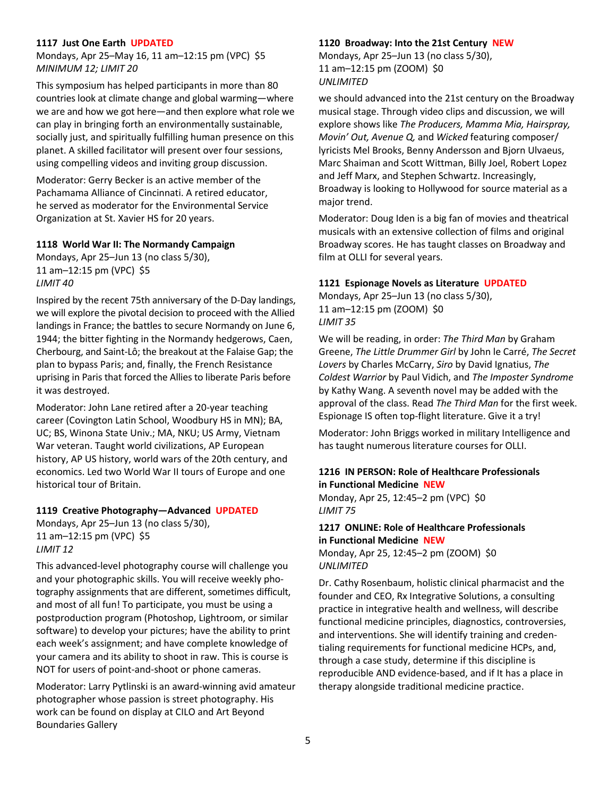#### **1117 Just One Earth UPDATED**

Mondays, Apr 25–May 16, 11 am–12:15 pm (VPC) \$5 *MINIMUM 12; LIMIT 20*

This symposium has helped participants in more than 80 countries look at climate change and global warming—where we are and how we got here—and then explore what role we can play in bringing forth an environmentally sustainable, socially just, and spiritually fulfilling human presence on this planet. A skilled facilitator will present over four sessions, using compelling videos and inviting group discussion.

Moderator: Gerry Becker is an active member of the Pachamama Alliance of Cincinnati. A retired educator, he served as moderator for the Environmental Service Organization at St. Xavier HS for 20 years.

#### **1118 World War II: The Normandy Campaign**

Mondays, Apr 25–Jun 13 (no class 5/30), 11 am–12:15 pm (VPC) \$5 *LIMIT 40*

Inspired by the recent 75th anniversary of the D-Day landings, we will explore the pivotal decision to proceed with the Allied landings in France; the battles to secure Normandy on June 6, 1944; the bitter fighting in the Normandy hedgerows, Caen, Cherbourg, and Saint-Lô; the breakout at the Falaise Gap; the plan to bypass Paris; and, finally, the French Resistance uprising in Paris that forced the Allies to liberate Paris before it was destroyed.

Moderator: John Lane retired after a 20-year teaching career (Covington Latin School, Woodbury HS in MN); BA, UC; BS, Winona State Univ.; MA, NKU; US Army, Vietnam War veteran. Taught world civilizations, AP European history, AP US history, world wars of the 20th century, and economics. Led two World War II tours of Europe and one historical tour of Britain.

#### **1119 Creative Photography—Advanced UPDATED**

Mondays, Apr 25–Jun 13 (no class 5/30), 11 am–12:15 pm (VPC) \$5 *LIMIT 12*

This advanced-level photography course will challenge you and your photographic skills. You will receive weekly photography assignments that are different, sometimes difficult, and most of all fun! To participate, you must be using a postproduction program (Photoshop, Lightroom, or similar software) to develop your pictures; have the ability to print each week's assignment; and have complete knowledge of your camera and its ability to shoot in raw. This is course is NOT for users of point-and-shoot or phone cameras.

Moderator: Larry Pytlinski is an award-winning avid amateur photographer whose passion is street photography. His work can be found on display at CILO and Art Beyond Boundaries Gallery

#### **1120 Broadway: Into the 21st Century NEW**

Mondays, Apr 25–Jun 13 (no class 5/30), 11 am–12:15 pm (ZOOM) \$0 *UNLIMITED*

we should advanced into the 21st century on the Broadway musical stage. Through video clips and discussion, we will explore shows like *The Producers, Mamma Mia, Hairspray, Movin' Out, Avenue Q,* and *Wicked* featuring composer/ lyricists Mel Brooks, Benny Andersson and Bjorn Ulvaeus, Marc Shaiman and Scott Wittman, Billy Joel, Robert Lopez and Jeff Marx, and Stephen Schwartz. Increasingly, Broadway is looking to Hollywood for source material as a major trend.

Moderator: Doug Iden is a big fan of movies and theatrical musicals with an extensive collection of films and original Broadway scores. He has taught classes on Broadway and film at OLLI for several years.

#### **1121 Espionage Novels as Literature UPDATED**

Mondays, Apr 25–Jun 13 (no class 5/30), 11 am–12:15 pm (ZOOM) \$0 *LIMIT 35*

We will be reading, in order: *The Third Man* by Graham Greene, *The Little Drummer Girl* by John le Carré, *The Secret Lovers* by Charles McCarry, *Siro* by David Ignatius, *The Coldest Warrior* by Paul Vidich, and *The Imposter Syndrome* by Kathy Wang. A seventh novel may be added with the approval of the class. Read *The Third Man* for the first week. Espionage IS often top-flight literature. Give it a try!

Moderator: John Briggs worked in military Intelligence and has taught numerous literature courses for OLLI.

# **1216 IN PERSON: Role of Healthcare Professionals in Functional Medicine NEW**

Monday, Apr 25, 12:45–2 pm (VPC) \$0 *LIMIT 75*

# **1217 ONLINE: Role of Healthcare Professionals in Functional Medicine NEW** Monday, Apr 25, 12:45–2 pm (ZOOM) \$0

*UNLIMITED*

Dr. Cathy Rosenbaum, holistic clinical pharmacist and the founder and CEO, Rx Integrative Solutions, a consulting practice in integrative health and wellness, will describe functional medicine principles, diagnostics, controversies, and interventions. She will identify training and credentialing requirements for functional medicine HCPs, and, through a case study, determine if this discipline is reproducible AND evidence-based, and if It has a place in therapy alongside traditional medicine practice.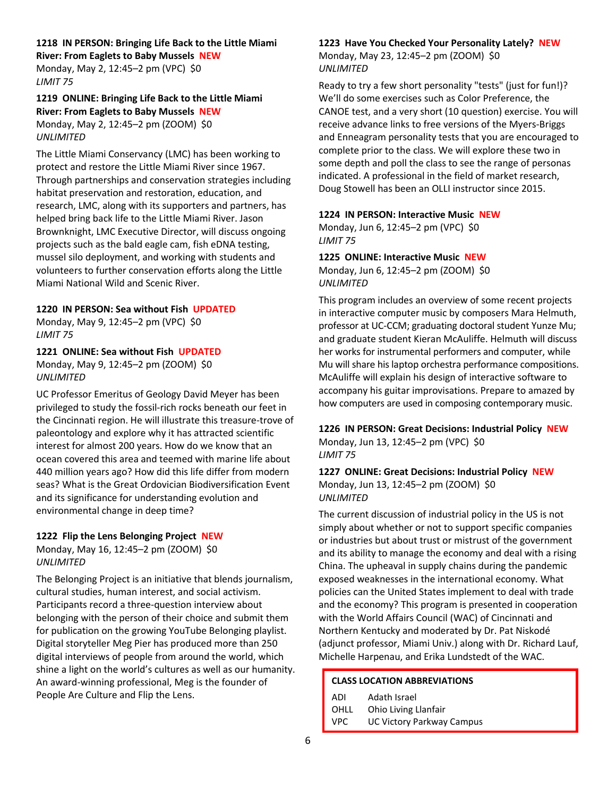#### **1218 IN PERSON: Bringing Life Back to the Little Miami**

**River: From Eaglets to Baby Mussels NEW** Monday, May 2, 12:45–2 pm (VPC) \$0 *LIMIT 75*

# **1219 ONLINE: Bringing Life Back to the Little Miami River: From Eaglets to Baby Mussels NEW** Monday, May 2, 12:45–2 pm (ZOOM) \$0 *UNLIMITED*

The Little Miami Conservancy (LMC) has been working to protect and restore the Little Miami River since 1967. Through partnerships and conservation strategies including habitat preservation and restoration, education, and research, LMC, along with its supporters and partners, has helped bring back life to the Little Miami River. Jason Brownknight, LMC Executive Director, will discuss ongoing projects such as the bald eagle cam, fish eDNA testing, mussel silo deployment, and working with students and volunteers to further conservation efforts along the Little Miami National Wild and Scenic River.

#### **1220 IN PERSON: Sea without Fish UPDATED**

Monday, May 9, 12:45–2 pm (VPC) \$0 *LIMIT 75*

# **1221 ONLINE: Sea without Fish UPDATED**

Monday, May 9, 12:45–2 pm (ZOOM) \$0 *UNLIMITED*

UC Professor Emeritus of Geology David Meyer has been privileged to study the fossil-rich rocks beneath our feet in the Cincinnati region. He will illustrate this treasure-trove of paleontology and explore why it has attracted scientific interest for almost 200 years. How do we know that an ocean covered this area and teemed with marine life about 440 million years ago? How did this life differ from modern seas? What is the Great Ordovician Biodiversification Event and its significance for understanding evolution and environmental change in deep time?

#### **1222 Flip the Lens Belonging Project NEW**

Monday, May 16, 12:45–2 pm (ZOOM) \$0 *UNLIMITED*

The Belonging Project is an initiative that blends journalism, cultural studies, human interest, and social activism. Participants record a three-question interview about belonging with the person of their choice and submit them for publication on the growing YouTube Belonging playlist. Digital storyteller Meg Pier has produced more than 250 digital interviews of people from around the world, which shine a light on the world's cultures as well as our humanity. An award-winning professional, Meg is the founder of People Are Culture and Flip the Lens.

#### **1223 Have You Checked Your Personality Lately? NEW**

Monday, May 23, 12:45–2 pm (ZOOM) \$0 *UNLIMITED*

Ready to try a few short personality "tests" (just for fun!)? We'll do some exercises such as Color Preference, the CANOE test, and a very short (10 question) exercise. You will receive advance links to free versions of the Myers-Briggs and Enneagram personality tests that you are encouraged to complete prior to the class. We will explore these two in some depth and poll the class to see the range of personas indicated. A professional in the field of market research, Doug Stowell has been an OLLI instructor since 2015.

# **1224 IN PERSON: Interactive Music NEW**

Monday, Jun 6, 12:45–2 pm (VPC) \$0 *LIMIT 75*

#### **1225 ONLINE: Interactive Music NEW**

Monday, Jun 6, 12:45–2 pm (ZOOM) \$0 *UNLIMITED*

This program includes an overview of some recent projects in interactive computer music by composers Mara Helmuth, professor at UC-CCM; graduating doctoral student Yunze Mu; and graduate student Kieran McAuliffe. Helmuth will discuss her works for instrumental performers and computer, while Mu will share his laptop orchestra performance compositions. McAuliffe will explain his design of interactive software to accompany his guitar improvisations. Prepare to amazed by how computers are used in composing contemporary music.

**1226 IN PERSON: Great Decisions: Industrial Policy NEW** Monday, Jun 13, 12:45–2 pm (VPC) \$0 *LIMIT 75*

#### **1227 ONLINE: Great Decisions: Industrial Policy NEW** Monday, Jun 13, 12:45–2 pm (ZOOM) \$0 *UNLIMITED*

The current discussion of industrial policy in the US is not simply about whether or not to support specific companies or industries but about trust or mistrust of the government and its ability to manage the economy and deal with a rising China. The upheaval in supply chains during the pandemic exposed weaknesses in the international economy. What policies can the United States implement to deal with trade and the economy? This program is presented in cooperation with the World Affairs Council (WAC) of Cincinnati and Northern Kentucky and moderated by Dr. Pat Niskodé (adjunct professor, Miami Univ.) along with Dr. Richard Lauf, Michelle Harpenau, and Erika Lundstedt of the WAC.

# **CLASS LOCATION ABBREVIATIONS**

| ADI  | Adath Israel                     |
|------|----------------------------------|
| OHLL | Ohio Living Llanfair             |
| VPC. | <b>UC Victory Parkway Campus</b> |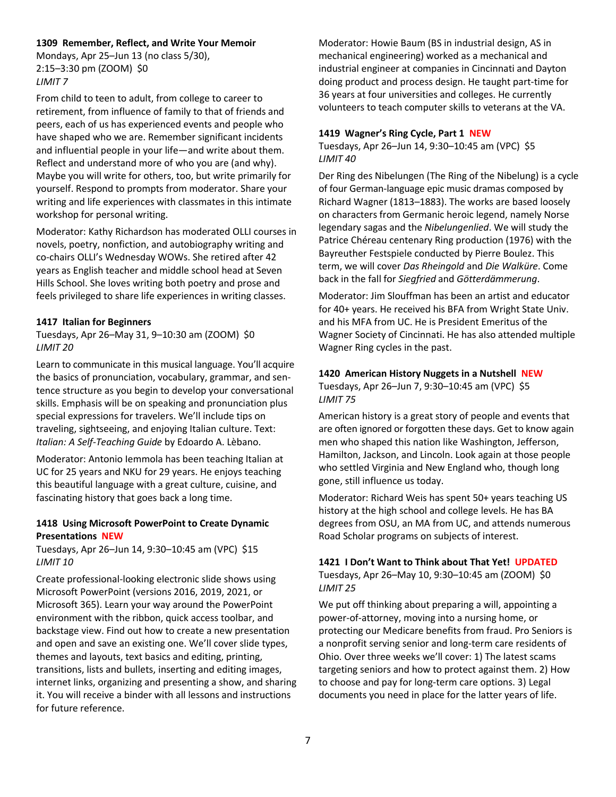#### **1309 Remember, Reflect, and Write Your Memoir**

Mondays, Apr 25–Jun 13 (no class 5/30), 2:15–3:30 pm (ZOOM) \$0 *LIMIT 7*

From child to teen to adult, from college to career to retirement, from influence of family to that of friends and peers, each of us has experienced events and people who have shaped who we are. Remember significant incidents and influential people in your life—and write about them. Reflect and understand more of who you are (and why). Maybe you will write for others, too, but write primarily for yourself. Respond to prompts from moderator. Share your writing and life experiences with classmates in this intimate workshop for personal writing.

Moderator: Kathy Richardson has moderated OLLI courses in novels, poetry, nonfiction, and autobiography writing and co-chairs OLLI's Wednesday WOWs. She retired after 42 years as English teacher and middle school head at Seven Hills School. She loves writing both poetry and prose and feels privileged to share life experiences in writing classes.

# **1417 Italian for Beginners**

Tuesdays, Apr 26–May 31, 9–10:30 am (ZOOM) \$0 *LIMIT 20*

Learn to communicate in this musical language. You'll acquire the basics of pronunciation, vocabulary, grammar, and sentence structure as you begin to develop your conversational skills. Emphasis will be on speaking and pronunciation plus special expressions for travelers. We'll include tips on traveling, sightseeing, and enjoying Italian culture. Text: *Italian: A Self-Teaching Guide* by Edoardo A. Lèbano.

Moderator: Antonio Iemmola has been teaching Italian at UC for 25 years and NKU for 29 years. He enjoys teaching this beautiful language with a great culture, cuisine, and fascinating history that goes back a long time.

# **1418 Using Microsoft PowerPoint to Create Dynamic Presentations NEW**

Tuesdays, Apr 26–Jun 14, 9:30–10:45 am (VPC) \$15 *LIMIT 10*

Create professional-looking electronic slide shows using Microsoft PowerPoint (versions 2016, 2019, 2021, or Microsoft 365). Learn your way around the PowerPoint environment with the ribbon, quick access toolbar, and backstage view. Find out how to create a new presentation and open and save an existing one. We'll cover slide types, themes and layouts, text basics and editing, printing, transitions, lists and bullets, inserting and editing images, internet links, organizing and presenting a show, and sharing it. You will receive a binder with all lessons and instructions for future reference.

Moderator: Howie Baum (BS in industrial design, AS in mechanical engineering) worked as a mechanical and industrial engineer at companies in Cincinnati and Dayton doing product and process design. He taught part-time for 36 years at four universities and colleges. He currently volunteers to teach computer skills to veterans at the VA.

#### **1419 Wagner's Ring Cycle, Part 1 NEW**

Tuesdays, Apr 26–Jun 14, 9:30–10:45 am (VPC) \$5 *LIMIT 40*

Der Ring des Nibelungen (The Ring of the Nibelung) is a cycle of four German-language epic music dramas composed by Richard Wagner (1813–1883). The works are based loosely on characters from Germanic heroic legend, namely Norse legendary sagas and the *Nibelungenlied*. We will study the Patrice Chéreau centenary Ring production (1976) with the Bayreuther Festspiele conducted by Pierre Boulez. This term, we will cover *Das Rheingold* and *Die Walküre*. Come back in the fall for *Siegfried* and *Götterdämmerung*.

Moderator: Jim Slouffman has been an artist and educator for 40+ years. He received his BFA from Wright State Univ. and his MFA from UC. He is President Emeritus of the Wagner Society of Cincinnati. He has also attended multiple Wagner Ring cycles in the past.

# **1420 American History Nuggets in a Nutshell NEW**

Tuesdays, Apr 26–Jun 7, 9:30–10:45 am (VPC) \$5 *LIMIT 75*

American history is a great story of people and events that are often ignored or forgotten these days. Get to know again men who shaped this nation like Washington, Jefferson, Hamilton, Jackson, and Lincoln. Look again at those people who settled Virginia and New England who, though long gone, still influence us today.

Moderator: Richard Weis has spent 50+ years teaching US history at the high school and college levels. He has BA degrees from OSU, an MA from UC, and attends numerous Road Scholar programs on subjects of interest.

# **1421 I Don't Want to Think about That Yet! UPDATED**

Tuesdays, Apr 26–May 10, 9:30–10:45 am (ZOOM) \$0 *LIMIT 25*

We put off thinking about preparing a will, appointing a power-of-attorney, moving into a nursing home, or protecting our Medicare benefits from fraud. Pro Seniors is a nonprofit serving senior and long-term care residents of Ohio. Over three weeks we'll cover: 1) The latest scams targeting seniors and how to protect against them. 2) How to choose and pay for long-term care options. 3) Legal documents you need in place for the latter years of life.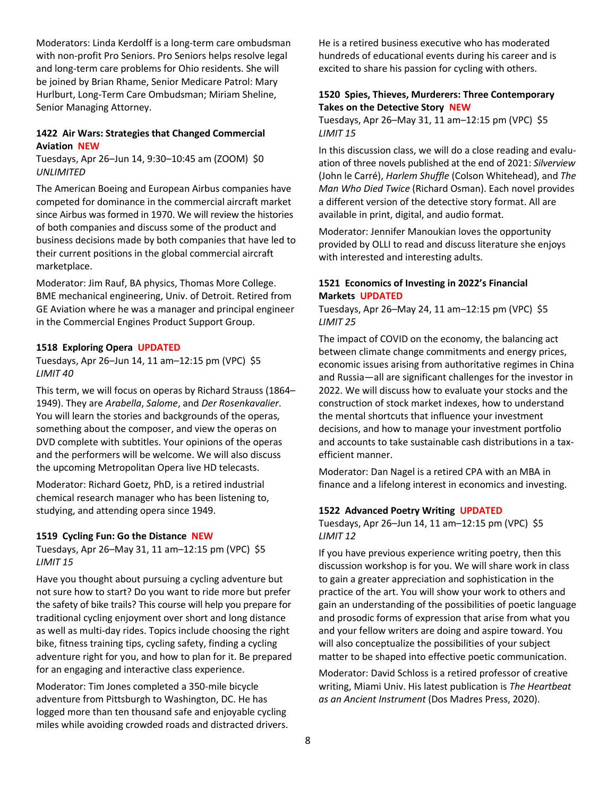Moderators: Linda Kerdolff is a long-term care ombudsman with non-profit Pro Seniors. Pro Seniors helps resolve legal and long-term care problems for Ohio residents. She will be joined by Brian Rhame, Senior Medicare Patrol: Mary Hurlburt, Long-Term Care Ombudsman; Miriam Sheline, Senior Managing Attorney.

### **1422 Air Wars: Strategies that Changed Commercial Aviation NEW**

Tuesdays, Apr 26–Jun 14, 9:30–10:45 am (ZOOM) \$0 *UNLIMITED*

The American Boeing and European Airbus companies have competed for dominance in the commercial aircraft market since Airbus was formed in 1970. We will review the histories of both companies and discuss some of the product and business decisions made by both companies that have led to their current positions in the global commercial aircraft marketplace.

Moderator: Jim Rauf, BA physics, Thomas More College. BME mechanical engineering, Univ. of Detroit. Retired from GE Aviation where he was a manager and principal engineer in the Commercial Engines Product Support Group.

#### **1518 Exploring Opera UPDATED**

Tuesdays, Apr 26–Jun 14, 11 am–12:15 pm (VPC) \$5 *LIMIT 40*

This term, we will focus on operas by Richard Strauss (1864– 1949). They are *Arabella*, *Salome*, and *Der Rosenkavalier*. You will learn the stories and backgrounds of the operas, something about the composer, and view the operas on DVD complete with subtitles. Your opinions of the operas and the performers will be welcome. We will also discuss the upcoming Metropolitan Opera live HD telecasts.

Moderator: Richard Goetz, PhD, is a retired industrial chemical research manager who has been listening to, studying, and attending opera since 1949.

#### **1519 Cycling Fun: Go the Distance NEW**

Tuesdays, Apr 26–May 31, 11 am–12:15 pm (VPC) \$5 *LIMIT 15*

Have you thought about pursuing a cycling adventure but not sure how to start? Do you want to ride more but prefer the safety of bike trails? This course will help you prepare for traditional cycling enjoyment over short and long distance as well as multi-day rides. Topics include choosing the right bike, fitness training tips, cycling safety, finding a cycling adventure right for you, and how to plan for it. Be prepared for an engaging and interactive class experience.

Moderator: Tim Jones completed a 350-mile bicycle adventure from Pittsburgh to Washington, DC. He has logged more than ten thousand safe and enjoyable cycling miles while avoiding crowded roads and distracted drivers. He is a retired business executive who has moderated hundreds of educational events during his career and is excited to share his passion for cycling with others.

# **1520 Spies, Thieves, Murderers: Three Contemporary Takes on the Detective Story NEW**

Tuesdays, Apr 26–May 31, 11 am–12:15 pm (VPC) \$5 *LIMIT 15*

In this discussion class, we will do a close reading and evaluation of three novels published at the end of 2021: *Silverview* (John le Carré), *Harlem Shuffle* (Colson Whitehead), and *The Man Who Died Twice* (Richard Osman). Each novel provides a different version of the detective story format. All are available in print, digital, and audio format.

Moderator: Jennifer Manoukian loves the opportunity provided by OLLI to read and discuss literature she enjoys with interested and interesting adults.

# **1521 Economics of Investing in 2022's Financial Markets UPDATED**

Tuesdays, Apr 26–May 24, 11 am–12:15 pm (VPC) \$5 *LIMIT 25*

The impact of COVID on the economy, the balancing act between climate change commitments and energy prices, economic issues arising from authoritative regimes in China and Russia—all are significant challenges for the investor in 2022. We will discuss how to evaluate your stocks and the construction of stock market indexes, how to understand the mental shortcuts that influence your investment decisions, and how to manage your investment portfolio and accounts to take sustainable cash distributions in a taxefficient manner.

Moderator: Dan Nagel is a retired CPA with an MBA in finance and a lifelong interest in economics and investing.

#### **1522 Advanced Poetry Writing UPDATED**

Tuesdays, Apr 26–Jun 14, 11 am–12:15 pm (VPC) \$5 *LIMIT 12*

If you have previous experience writing poetry, then this discussion workshop is for you. We will share work in class to gain a greater appreciation and sophistication in the practice of the art. You will show your work to others and gain an understanding of the possibilities of poetic language and prosodic forms of expression that arise from what you and your fellow writers are doing and aspire toward. You will also conceptualize the possibilities of your subject matter to be shaped into effective poetic communication.

Moderator: David Schloss is a retired professor of creative writing, Miami Univ. His latest publication is *The Heartbeat as an Ancient Instrument* (Dos Madres Press, 2020).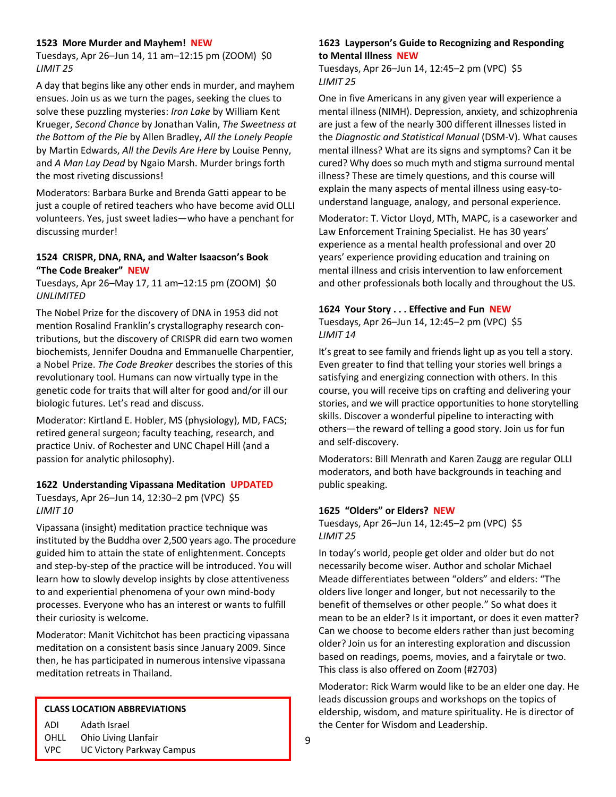#### **1523 More Murder and Mayhem! NEW**

Tuesdays, Apr 26–Jun 14, 11 am–12:15 pm (ZOOM) \$0 *LIMIT 25*

A day that begins like any other ends in murder, and mayhem ensues. Join us as we turn the pages, seeking the clues to solve these puzzling mysteries: *Iron Lake* by William Kent Krueger, *Second Chance* by Jonathan Valin, *The Sweetness at the Bottom of the Pie* by Allen Bradley, *All the Lonely People* by Martin Edwards, *All the Devils Are Here* by Louise Penny, and *A Man Lay Dead* by Ngaio Marsh. Murder brings forth the most riveting discussions!

Moderators: Barbara Burke and Brenda Gatti appear to be just a couple of retired teachers who have become avid OLLI volunteers. Yes, just sweet ladies—who have a penchant for discussing murder!

#### **1524 CRISPR, DNA, RNA, and Walter Isaacson's Book "The Code Breaker" NEW**

Tuesdays, Apr 26–May 17, 11 am–12:15 pm (ZOOM) \$0 *UNLIMITED*

The Nobel Prize for the discovery of DNA in 1953 did not mention Rosalind Franklin's crystallography research contributions, but the discovery of CRISPR did earn two women biochemists, Jennifer Doudna and Emmanuelle Charpentier, a Nobel Prize. *The Code Breaker* describes the stories of this revolutionary tool. Humans can now virtually type in the genetic code for traits that will alter for good and/or ill our biologic futures. Let's read and discuss.

Moderator: Kirtland E. Hobler, MS (physiology), MD, FACS; retired general surgeon; faculty teaching, research, and practice Univ. of Rochester and UNC Chapel Hill (and a passion for analytic philosophy).

#### **1622 Understanding Vipassana Meditation UPDATED**

Tuesdays, Apr 26–Jun 14, 12:30–2 pm (VPC) \$5 *LIMIT 10*

Vipassana (insight) meditation practice technique was instituted by the Buddha over 2,500 years ago. The procedure guided him to attain the state of enlightenment. Concepts and step-by-step of the practice will be introduced. You will learn how to slowly develop insights by close attentiveness to and experiential phenomena of your own mind-body processes. Everyone who has an interest or wants to fulfill their curiosity is welcome.

Moderator: Manit Vichitchot has been practicing vipassana meditation on a consistent basis since January 2009. Since then, he has participated in numerous intensive vipassana meditation retreats in Thailand.

#### **CLASS LOCATION ABBREVIATIONS**

ADI Adath Israel OHLL Ohio Living Llanfair

VPC UC Victory Parkway Campus

#### **1623 Layperson's Guide to Recognizing and Responding to Mental Illness NEW**

Tuesdays, Apr 26–Jun 14, 12:45–2 pm (VPC) \$5 *LIMIT 25*

One in five Americans in any given year will experience a mental illness (NIMH). Depression, anxiety, and schizophrenia are just a few of the nearly 300 different illnesses listed in the *Diagnostic and Statistical Manual* (DSM-V). What causes mental illness? What are its signs and symptoms? Can it be cured? Why does so much myth and stigma surround mental illness? These are timely questions, and this course will explain the many aspects of mental illness using easy-tounderstand language, analogy, and personal experience.

Moderator: T. Victor Lloyd, MTh, MAPC, is a caseworker and Law Enforcement Training Specialist. He has 30 years' experience as a mental health professional and over 20 years' experience providing education and training on mental illness and crisis intervention to law enforcement and other professionals both locally and throughout the US.

#### **1624 Your Story . . . Effective and Fun NEW**

Tuesdays, Apr 26–Jun 14, 12:45–2 pm (VPC) \$5 *LIMIT 14*

It's great to see family and friends light up as you tell a story. Even greater to find that telling your stories well brings a satisfying and energizing connection with others. In this course, you will receive tips on crafting and delivering your stories, and we will practice opportunities to hone storytelling skills. Discover a wonderful pipeline to interacting with others—the reward of telling a good story. Join us for fun and self-discovery.

Moderators: Bill Menrath and Karen Zaugg are regular OLLI moderators, and both have backgrounds in teaching and public speaking.

#### **1625 "Olders" or Elders? NEW**

Tuesdays, Apr 26–Jun 14, 12:45–2 pm (VPC) \$5 *LIMIT 25*

In today's world, people get older and older but do not necessarily become wiser. Author and scholar Michael Meade differentiates between "olders" and elders: "The olders live longer and longer, but not necessarily to the benefit of themselves or other people." So what does it mean to be an elder? Is it important, or does it even matter? Can we choose to become elders rather than just becoming older? Join us for an interesting exploration and discussion based on readings, poems, movies, and a fairytale or two. This class is also offered on Zoom (#2703)

Moderator: Rick Warm would like to be an elder one day. He leads discussion groups and workshops on the topics of eldership, wisdom, and mature spirituality. He is director of the Center for Wisdom and Leadership.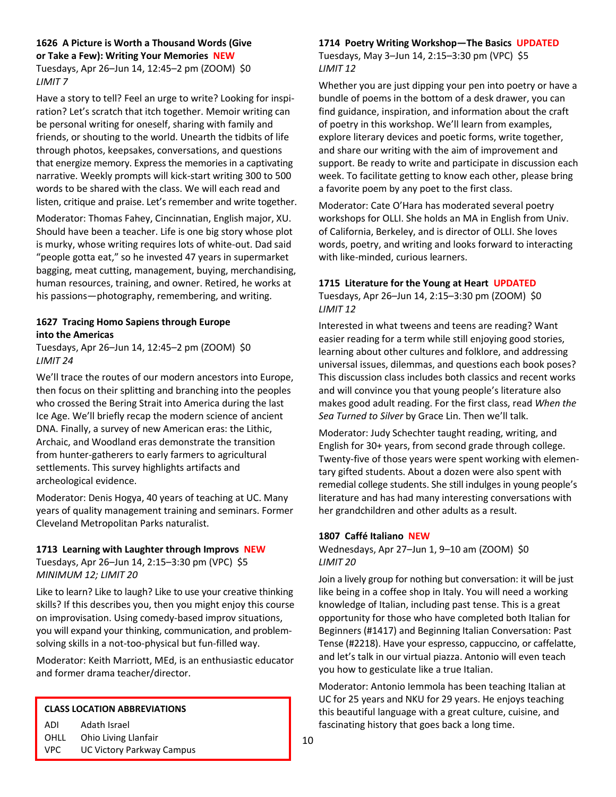# **1626 A Picture is Worth a Thousand Words (Give or Take a Few): Writing Your Memories NEW** Tuesdays, Apr 26–Jun 14, 12:45–2 pm (ZOOM) \$0 *LIMIT 7*

Have a story to tell? Feel an urge to write? Looking for inspiration? Let's scratch that itch together. Memoir writing can be personal writing for oneself, sharing with family and friends, or shouting to the world. Unearth the tidbits of life through photos, keepsakes, conversations, and questions that energize memory. Express the memories in a captivating narrative. Weekly prompts will kick-start writing 300 to 500 words to be shared with the class. We will each read and listen, critique and praise. Let's remember and write together.

Moderator: Thomas Fahey, Cincinnatian, English major, XU. Should have been a teacher. Life is one big story whose plot is murky, whose writing requires lots of white-out. Dad said "people gotta eat," so he invested 47 years in supermarket bagging, meat cutting, management, buying, merchandising, human resources, training, and owner. Retired, he works at his passions—photography, remembering, and writing.

# **1627 Tracing Homo Sapiens through Europe into the Americas**

Tuesdays, Apr 26–Jun 14, 12:45–2 pm (ZOOM) \$0 *LIMIT 24*

We'll trace the routes of our modern ancestors into Europe, then focus on their splitting and branching into the peoples who crossed the Bering Strait into America during the last Ice Age. We'll briefly recap the modern science of ancient DNA. Finally, a survey of new American eras: the Lithic, Archaic, and Woodland eras demonstrate the transition from hunter-gatherers to early farmers to agricultural settlements. This survey highlights artifacts and archeological evidence.

Moderator: Denis Hogya, 40 years of teaching at UC. Many years of quality management training and seminars. Former Cleveland Metropolitan Parks naturalist.

#### **1713 Learning with Laughter through Improvs NEW**

Tuesdays, Apr 26–Jun 14, 2:15–3:30 pm (VPC) \$5 *MINIMUM 12; LIMIT 20*

Like to learn? Like to laugh? Like to use your creative thinking skills? If this describes you, then you might enjoy this course on improvisation. Using comedy-based improv situations, you will expand your thinking, communication, and problemsolving skills in a not-too-physical but fun-filled way.

Moderator: Keith Marriott, MEd, is an enthusiastic educator and former drama teacher/director.

#### **CLASS LOCATION ABBREVIATIONS**

ADI Adath Israel

OHLL Ohio Living Llanfair

#### VPC UC Victory Parkway Campus

# **1714 Poetry Writing Workshop—The Basics UPDATED**

Tuesdays, May 3–Jun 14, 2:15–3:30 pm (VPC) \$5 *LIMIT 12*

Whether you are just dipping your pen into poetry or have a bundle of poems in the bottom of a desk drawer, you can find guidance, inspiration, and information about the craft of poetry in this workshop. We'll learn from examples, explore literary devices and poetic forms, write together, and share our writing with the aim of improvement and support. Be ready to write and participate in discussion each week. To facilitate getting to know each other, please bring a favorite poem by any poet to the first class.

Moderator: Cate O'Hara has moderated several poetry workshops for OLLI. She holds an MA in English from Univ. of California, Berkeley, and is director of OLLI. She loves words, poetry, and writing and looks forward to interacting with like-minded, curious learners.

# **1715 Literature for the Young at Heart UPDATED**

Tuesdays, Apr 26–Jun 14, 2:15–3:30 pm (ZOOM) \$0 *LIMIT 12*

Interested in what tweens and teens are reading? Want easier reading for a term while still enjoying good stories, learning about other cultures and folklore, and addressing universal issues, dilemmas, and questions each book poses? This discussion class includes both classics and recent works and will convince you that young people's literature also makes good adult reading. For the first class, read *When the Sea Turned to Silver* by Grace Lin. Then we'll talk.

Moderator: Judy Schechter taught reading, writing, and English for 30+ years, from second grade through college. Twenty-five of those years were spent working with elementary gifted students. About a dozen were also spent with remedial college students. She still indulges in young people's literature and has had many interesting conversations with her grandchildren and other adults as a result.

#### **1807 Caffé Italiano NEW**

Wednesdays, Apr 27–Jun 1, 9–10 am (ZOOM) \$0 *LIMIT 20*

Join a lively group for nothing but conversation: it will be just like being in a coffee shop in Italy. You will need a working knowledge of Italian, including past tense. This is a great opportunity for those who have completed both Italian for Beginners (#1417) and Beginning Italian Conversation: Past Tense (#2218). Have your espresso, cappuccino, or caffelatte, and let's talk in our virtual piazza. Antonio will even teach you how to gesticulate like a true Italian.

Moderator: Antonio Iemmola has been teaching Italian at UC for 25 years and NKU for 29 years. He enjoys teaching this beautiful language with a great culture, cuisine, and fascinating history that goes back a long time.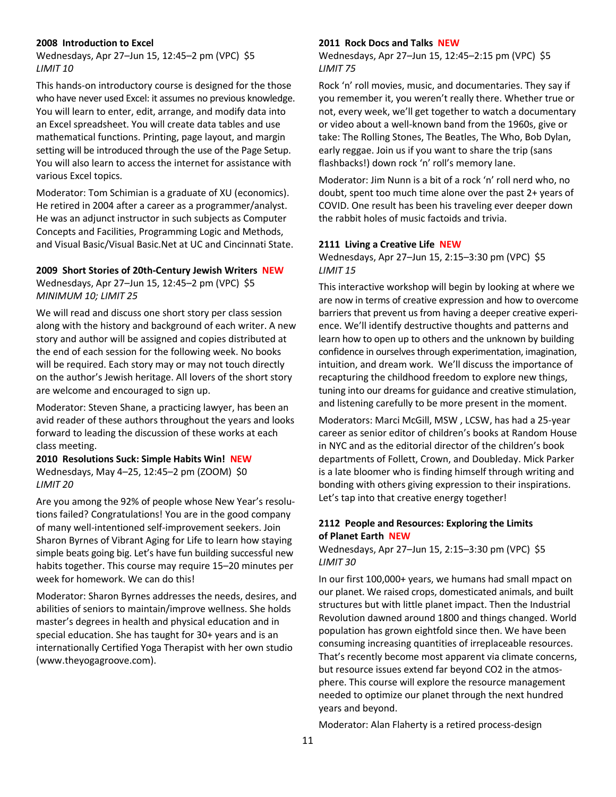#### **2008 Introduction to Excel**

Wednesdays, Apr 27–Jun 15, 12:45–2 pm (VPC) \$5 *LIMIT 10*

This hands-on introductory course is designed for the those who have never used Excel: it assumes no previous knowledge. You will learn to enter, edit, arrange, and modify data into an Excel spreadsheet. You will create data tables and use mathematical functions. Printing, page layout, and margin setting will be introduced through the use of the Page Setup. You will also learn to access the internet for assistance with various Excel topics.

Moderator: Tom Schimian is a graduate of XU (economics). He retired in 2004 after a career as a programmer/analyst. He was an adjunct instructor in such subjects as Computer Concepts and Facilities, Programming Logic and Methods, and Visual Basic/Visual Basic.Net at UC and Cincinnati State.

# **2009 Short Stories of 20th-Century Jewish Writers NEW**

Wednesdays, Apr 27–Jun 15, 12:45–2 pm (VPC) \$5 *MINIMUM 10; LIMIT 25*

We will read and discuss one short story per class session along with the history and background of each writer. A new story and author will be assigned and copies distributed at the end of each session for the following week. No books will be required. Each story may or may not touch directly on the author's Jewish heritage. All lovers of the short story are welcome and encouraged to sign up.

Moderator: Steven Shane, a practicing lawyer, has been an avid reader of these authors throughout the years and looks forward to leading the discussion of these works at each class meeting.

#### **2010 Resolutions Suck: Simple Habits Win! NEW** Wednesdays, May 4–25, 12:45–2 pm (ZOOM) \$0 *LIMIT 20*

Are you among the 92% of people whose New Year's resolutions failed? Congratulations! You are in the good company of many well-intentioned self-improvement seekers. Join Sharon Byrnes of Vibrant Aging for Life to learn how staying simple beats going big. Let's have fun building successful new habits together. This course may require 15–20 minutes per week for homework. We can do this!

Moderator: Sharon Byrnes addresses the needs, desires, and abilities of seniors to maintain/improve wellness. She holds master's degrees in health and physical education and in special education. She has taught for 30+ years and is an internationally Certified Yoga Therapist with her own studio (www.theyogagroove.com).

#### **2011 Rock Docs and Talks NEW**

Wednesdays, Apr 27–Jun 15, 12:45–2:15 pm (VPC) \$5 *LIMIT 75*

Rock 'n' roll movies, music, and documentaries. They say if you remember it, you weren't really there. Whether true or not, every week, we'll get together to watch a documentary or video about a well-known band from the 1960s, give or take: The Rolling Stones, The Beatles, The Who, Bob Dylan, early reggae. Join us if you want to share the trip (sans flashbacks!) down rock 'n' roll's memory lane.

Moderator: Jim Nunn is a bit of a rock 'n' roll nerd who, no doubt, spent too much time alone over the past 2+ years of COVID. One result has been his traveling ever deeper down the rabbit holes of music factoids and trivia.

#### **2111 Living a Creative Life NEW**

Wednesdays, Apr 27–Jun 15, 2:15–3:30 pm (VPC) \$5 *LIMIT 15*

This interactive workshop will begin by looking at where we are now in terms of creative expression and how to overcome barriers that prevent us from having a deeper creative experience. We'll identify destructive thoughts and patterns and learn how to open up to others and the unknown by building confidence in ourselves through experimentation, imagination, intuition, and dream work. We'll discuss the importance of recapturing the childhood freedom to explore new things, tuning into our dreams for guidance and creative stimulation, and listening carefully to be more present in the moment.

Moderators: Marci McGill, MSW , LCSW, has had a 25-year career as senior editor of children's books at Random House in NYC and as the editorial director of the children's book departments of Follett, Crown, and Doubleday. Mick Parker is a late bloomer who is finding himself through writing and bonding with others giving expression to their inspirations. Let's tap into that creative energy together!

#### **2112 People and Resources: Exploring the Limits of Planet Earth NEW**

Wednesdays, Apr 27–Jun 15, 2:15–3:30 pm (VPC) \$5 *LIMIT 30*

In our first 100,000+ years, we humans had small mpact on our planet. We raised crops, domesticated animals, and built structures but with little planet impact. Then the Industrial Revolution dawned around 1800 and things changed. World population has grown eightfold since then. We have been consuming increasing quantities of irreplaceable resources. That's recently become most apparent via climate concerns, but resource issues extend far beyond CO2 in the atmosphere. This course will explore the resource management needed to optimize our planet through the next hundred years and beyond.

Moderator: Alan Flaherty is a retired process-design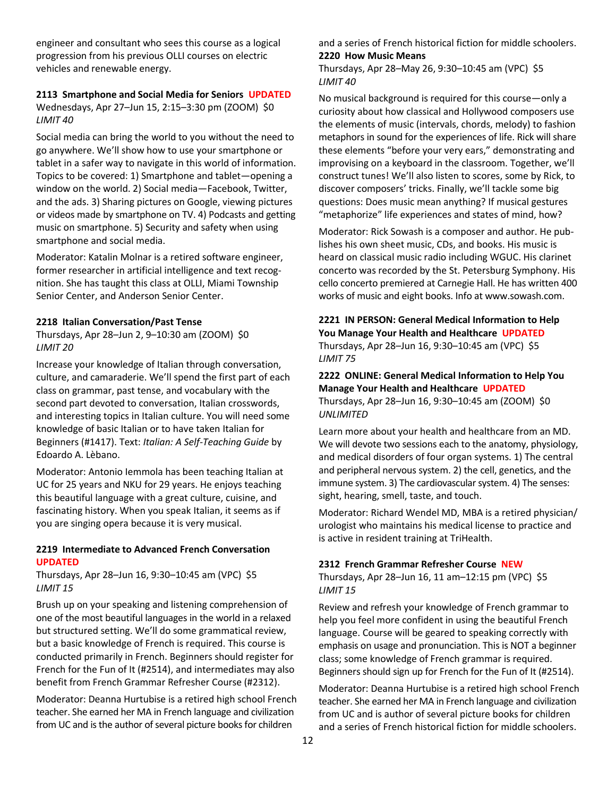engineer and consultant who sees this course as a logical progression from his previous OLLI courses on electric vehicles and renewable energy.

# **2113 Smartphone and Social Media for Seniors UPDATED**

Wednesdays, Apr 27–Jun 15, 2:15–3:30 pm (ZOOM) \$0 *LIMIT 40*

Social media can bring the world to you without the need to go anywhere. We'll show how to use your smartphone or tablet in a safer way to navigate in this world of information. Topics to be covered: 1) Smartphone and tablet—opening a window on the world. 2) Social media—Facebook, Twitter, and the ads. 3) Sharing pictures on Google, viewing pictures or videos made by smartphone on TV. 4) Podcasts and getting music on smartphone. 5) Security and safety when using smartphone and social media.

Moderator: Katalin Molnar is a retired software engineer, former researcher in artificial intelligence and text recognition. She has taught this class at OLLI, Miami Township Senior Center, and Anderson Senior Center.

#### **2218 Italian Conversation/Past Tense**

Thursdays, Apr 28–Jun 2, 9–10:30 am (ZOOM) \$0 *LIMIT 20*

Increase your knowledge of Italian through conversation, culture, and camaraderie. We'll spend the first part of each class on grammar, past tense, and vocabulary with the second part devoted to conversation, Italian crosswords, and interesting topics in Italian culture. You will need some knowledge of basic Italian or to have taken Italian for Beginners (#1417). Text: *Italian: A Self-Teaching Guide* by Edoardo A. Lèbano.

Moderator: Antonio Iemmola has been teaching Italian at UC for 25 years and NKU for 29 years. He enjoys teaching this beautiful language with a great culture, cuisine, and fascinating history. When you speak Italian, it seems as if you are singing opera because it is very musical.

# **2219 Intermediate to Advanced French Conversation UPDATED**

Thursdays, Apr 28–Jun 16, 9:30–10:45 am (VPC) \$5 *LIMIT 15*

Brush up on your speaking and listening comprehension of one of the most beautiful languages in the world in a relaxed but structured setting. We'll do some grammatical review, but a basic knowledge of French is required. This course is conducted primarily in French. Beginners should register for French for the Fun of It (#2514), and intermediates may also benefit from French Grammar Refresher Course (#2312).

Moderator: Deanna Hurtubise is a retired high school French teacher. She earned her MA in French language and civilization from UC and is the author of several picture books for children

and a series of French historical fiction for middle schoolers. **2220 How Music Means**

Thursdays, Apr 28–May 26, 9:30–10:45 am (VPC) \$5 *LIMIT 40*

No musical background is required for this course—only a curiosity about how classical and Hollywood composers use the elements of music (intervals, chords, melody) to fashion metaphors in sound for the experiences of life. Rick will share these elements "before your very ears," demonstrating and improvising on a keyboard in the classroom. Together, we'll construct tunes! We'll also listen to scores, some by Rick, to discover composers' tricks. Finally, we'll tackle some big questions: Does music mean anything? If musical gestures "metaphorize" life experiences and states of mind, how?

Moderator: Rick Sowash is a composer and author. He publishes his own sheet music, CDs, and books. His music is heard on classical music radio including WGUC. His clarinet concerto was recorded by the St. Petersburg Symphony. His cello concerto premiered at Carnegie Hall. He has written 400 works of music and eight books. Info at www.sowash.com.

# **2221 IN PERSON: General Medical Information to Help You Manage Your Health and Healthcare UPDATED** Thursdays, Apr 28–Jun 16, 9:30–10:45 am (VPC) \$5 *LIMIT 75*

# **2222 ONLINE: General Medical Information to Help You Manage Your Health and Healthcare UPDATED** Thursdays, Apr 28–Jun 16, 9:30–10:45 am (ZOOM) \$0

*UNLIMITED*

Learn more about your health and healthcare from an MD. We will devote two sessions each to the anatomy, physiology, and medical disorders of four organ systems. 1) The central and peripheral nervous system. 2) the cell, genetics, and the immune system. 3) The cardiovascular system. 4) The senses: sight, hearing, smell, taste, and touch.

Moderator: Richard Wendel MD, MBA is a retired physician/ urologist who maintains his medical license to practice and is active in resident training at TriHealth.

# **2312 French Grammar Refresher Course NEW**

Thursdays, Apr 28–Jun 16, 11 am–12:15 pm (VPC) \$5 *LIMIT 15*

Review and refresh your knowledge of French grammar to help you feel more confident in using the beautiful French language. Course will be geared to speaking correctly with emphasis on usage and pronunciation. This is NOT a beginner class; some knowledge of French grammar is required. Beginners should sign up for French for the Fun of It (#2514).

Moderator: Deanna Hurtubise is a retired high school French teacher. She earned her MA in French language and civilization from UC and is author of several picture books for children and a series of French historical fiction for middle schoolers.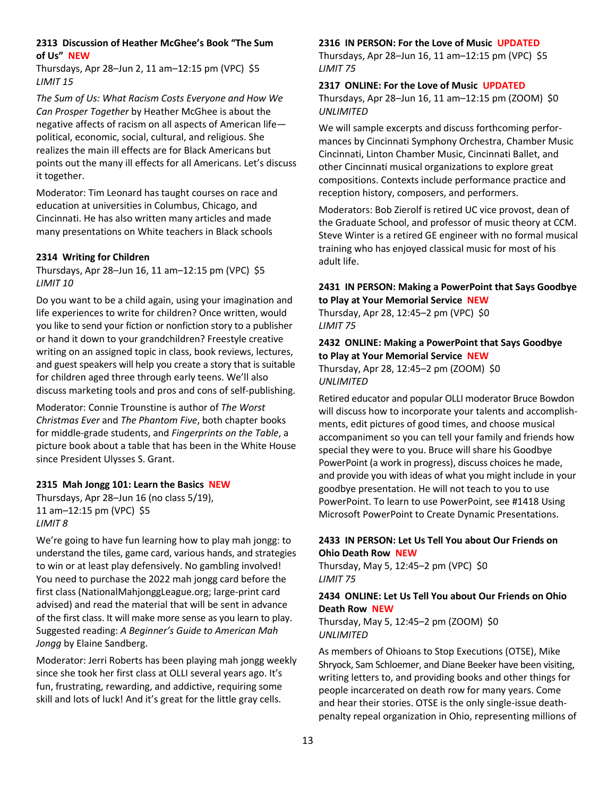# **2313 Discussion of Heather McGhee's Book "The Sum of Us" NEW**

Thursdays, Apr 28–Jun 2, 11 am–12:15 pm (VPC) \$5 *LIMIT 15*

*The Sum of Us: What Racism Costs Everyone and How We Can Prosper Together* by Heather McGhee is about the negative affects of racism on all aspects of American life political, economic, social, cultural, and religious. She realizes the main ill effects are for Black Americans but points out the many ill effects for all Americans. Let's discuss it together.

Moderator: Tim Leonard has taught courses on race and education at universities in Columbus, Chicago, and Cincinnati. He has also written many articles and made many presentations on White teachers in Black schools

# **2314 Writing for Children**

Thursdays, Apr 28–Jun 16, 11 am–12:15 pm (VPC) \$5 *LIMIT 10*

Do you want to be a child again, using your imagination and life experiences to write for children? Once written, would you like to send your fiction or nonfiction story to a publisher or hand it down to your grandchildren? Freestyle creative writing on an assigned topic in class, book reviews, lectures, and guest speakers will help you create a story that is suitable for children aged three through early teens. We'll also discuss marketing tools and pros and cons of self-publishing.

Moderator: Connie Trounstine is author of *The Worst Christmas Ever* and *The Phantom Five*, both chapter books for middle-grade students, and *Fingerprints on the Table*, a picture book about a table that has been in the White House since President Ulysses S. Grant.

#### **2315 Mah Jongg 101: Learn the Basics NEW**

Thursdays, Apr 28–Jun 16 (no class 5/19), 11 am–12:15 pm (VPC) \$5 *LIMIT 8*

We're going to have fun learning how to play mah jongg: to understand the tiles, game card, various hands, and strategies to win or at least play defensively. No gambling involved! You need to purchase the 2022 mah jongg card before the first class (NationalMahjonggLeague.org; large-print card advised) and read the material that will be sent in advance of the first class. It will make more sense as you learn to play. Suggested reading: *A Beginner's Guide to American Mah Jongg* by Elaine Sandberg.

Moderator: Jerri Roberts has been playing mah jongg weekly since she took her first class at OLLI several years ago. It's fun, frustrating, rewarding, and addictive, requiring some skill and lots of luck! And it's great for the little gray cells.

#### **2316 IN PERSON: For the Love of Music UPDATED**

Thursdays, Apr 28–Jun 16, 11 am–12:15 pm (VPC) \$5 *LIMIT 75*

**2317 ONLINE: For the Love of Music UPDATED**

Thursdays, Apr 28–Jun 16, 11 am–12:15 pm (ZOOM) \$0 *UNLIMITED*

We will sample excerpts and discuss forthcoming performances by Cincinnati Symphony Orchestra, Chamber Music Cincinnati, Linton Chamber Music, Cincinnati Ballet, and other Cincinnati musical organizations to explore great compositions. Contexts include performance practice and reception history, composers, and performers.

Moderators: Bob Zierolf is retired UC vice provost, dean of the Graduate School, and professor of music theory at CCM. Steve Winter is a retired GE engineer with no formal musical training who has enjoyed classical music for most of his adult life.

#### **2431 IN PERSON: Making a PowerPoint that Says Goodbye to Play at Your Memorial Service NEW**

Thursday, Apr 28, 12:45–2 pm (VPC) \$0 *LIMIT 75*

# **2432 ONLINE: Making a PowerPoint that Says Goodbye to Play at Your Memorial Service NEW**

Thursday, Apr 28, 12:45–2 pm (ZOOM) \$0 *UNLIMITED*

Retired educator and popular OLLI moderator Bruce Bowdon will discuss how to incorporate your talents and accomplishments, edit pictures of good times, and choose musical accompaniment so you can tell your family and friends how special they were to you. Bruce will share his Goodbye PowerPoint (a work in progress), discuss choices he made, and provide you with ideas of what you might include in your goodbye presentation. He will not teach to you to use PowerPoint. To learn to use PowerPoint, see #1418 Using Microsoft PowerPoint to Create Dynamic Presentations.

# **2433 IN PERSON: Let Us Tell You about Our Friends on Ohio Death Row NEW**

Thursday, May 5, 12:45–2 pm (VPC) \$0 *LIMIT 75*

# **2434 ONLINE: Let Us Tell You about Our Friends on Ohio Death Row NEW**

Thursday, May 5, 12:45–2 pm (ZOOM) \$0 *UNLIMITED*

As members of Ohioans to Stop Executions (OTSE), Mike Shryock, Sam Schloemer, and Diane Beeker have been visiting, writing letters to, and providing books and other things for people incarcerated on death row for many years. Come and hear their stories. OTSE is the only single-issue deathpenalty repeal organization in Ohio, representing millions of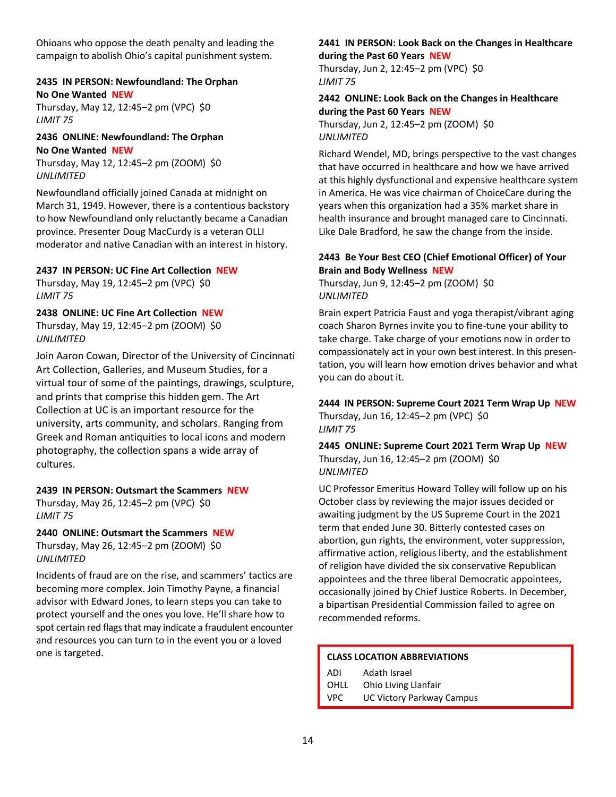Ohioans who oppose the death penalty and leading the campaign to abolish Ohio's capital punishment system.

#### **2435 IN PERSON: Newfoundland: The Orphan No One Wanted NEW**

Thursday, May 12, 12:45–2 pm (VPC) \$0 *LIMIT 75*

# **2436 ONLINE: Newfoundland: The Orphan No One Wanted NEW**

Thursday, May 12, 12:45–2 pm (ZOOM) \$0 *UNLIMITED*

Newfoundland officially joined Canada at midnight on March 31, 1949. However, there is a contentious backstory to how Newfoundland only reluctantly became a Canadian province. Presenter Doug MacCurdy is a veteran OLLI moderator and native Canadian with an interest in history.

# **2437 IN PERSON: UC Fine Art Collection NEW**

Thursday, May 19, 12:45–2 pm (VPC) \$0 *LIMIT 75*

# **2438 ONLINE: UC Fine Art Collection NEW**

Thursday, May 19, 12:45–2 pm (ZOOM) \$0 *UNLIMITED*

Join Aaron Cowan, Director of the University of Cincinnati Art Collection, Galleries, and Museum Studies, for a virtual tour of some of the paintings, drawings, sculpture, and prints that comprise this hidden gem. The Art Collection at UC is an important resource for the university, arts community, and scholars. Ranging from Greek and Roman antiquities to local icons and modern photography, the collection spans a wide array of cultures.

# **2439 IN PERSON: Outsmart the Scammers NEW**

Thursday, May 26, 12:45–2 pm (VPC) \$0 *LIMIT 75*

# **2440 ONLINE: Outsmart the Scammers NEW**

Thursday, May 26, 12:45–2 pm (ZOOM) \$0 *UNLIMITED*

Incidents of fraud are on the rise, and scammers' tactics are becoming more complex. Join Timothy Payne, a financial advisor with Edward Jones, to learn steps you can take to protect yourself and the ones you love. He'll share how to spot certain red flags that may indicate a fraudulent encounter and resources you can turn to in the event you or a loved one is targeted.

# **2441 IN PERSON: Look Back on the Changes in Healthcare**

# **during the Past 60 Years NEW**

Thursday, Jun 2, 12:45–2 pm (VPC) \$0 *LIMIT 75*

# **2442 ONLINE: Look Back on the Changes in Healthcare during the Past 60 Years NEW**

Thursday, Jun 2, 12:45–2 pm (ZOOM) \$0 *UNLIMITED*

Richard Wendel, MD, brings perspective to the vast changes that have occurred in healthcare and how we have arrived at this highly dysfunctional and expensive healthcare system in America. He was vice chairman of ChoiceCare during the years when this organization had a 35% market share in health insurance and brought managed care to Cincinnati. Like Dale Bradford, he saw the change from the inside.

# **2443 Be Your Best CEO (Chief Emotional Officer) of Your Brain and Body Wellness NEW**

Thursday, Jun 9, 12:45–2 pm (ZOOM) \$0 *UNLIMITED*

Brain expert Patricia Faust and yoga therapist/vibrant aging coach Sharon Byrnes invite you to fine-tune your ability to take charge. Take charge of your emotions now in order to compassionately act in your own best interest. In this presentation, you will learn how emotion drives behavior and what you can do about it.

# **2444 IN PERSON: Supreme Court 2021 Term Wrap Up NEW** Thursday, Jun 16, 12:45–2 pm (VPC) \$0

*LIMIT 75*

**2445 ONLINE: Supreme Court 2021 Term Wrap Up NEW** Thursday, Jun 16, 12:45–2 pm (ZOOM) \$0 *UNLIMITED*

UC Professor Emeritus Howard Tolley will follow up on his October class by reviewing the major issues decided or awaiting judgment by the US Supreme Court in the 2021 term that ended June 30. Bitterly contested cases on abortion, gun rights, the environment, voter suppression, affirmative action, religious liberty, and the establishment of religion have divided the six conservative Republican appointees and the three liberal Democratic appointees, occasionally joined by Chief Justice Roberts. In December, a bipartisan Presidential Commission failed to agree on recommended reforms.

# **CLASS LOCATION ABBREVIATIONS**

- ADI Adath Israel
- OHLL Ohio Living Llanfair
- VPC UC Victory Parkway Campus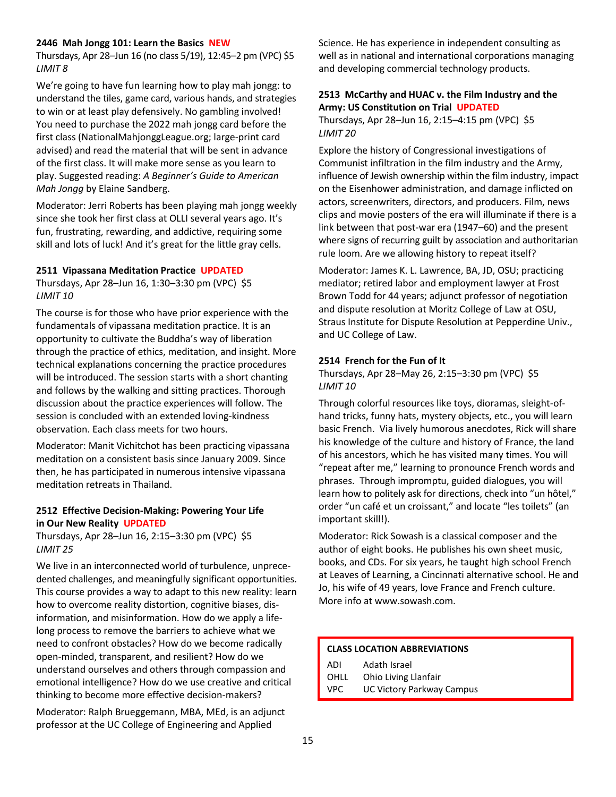#### **2446 Mah Jongg 101: Learn the Basics NEW**

Thursdays, Apr 28–Jun 16 (no class 5/19), 12:45–2 pm (VPC) \$5 *LIMIT 8*

We're going to have fun learning how to play mah jongg: to understand the tiles, game card, various hands, and strategies to win or at least play defensively. No gambling involved! You need to purchase the 2022 mah jongg card before the first class (NationalMahjonggLeague.org; large-print card advised) and read the material that will be sent in advance of the first class. It will make more sense as you learn to play. Suggested reading: *A Beginner's Guide to American Mah Jongg* by Elaine Sandberg.

Moderator: Jerri Roberts has been playing mah jongg weekly since she took her first class at OLLI several years ago. It's fun, frustrating, rewarding, and addictive, requiring some skill and lots of luck! And it's great for the little gray cells.

#### **2511 Vipassana Meditation Practice UPDATED**

Thursdays, Apr 28–Jun 16, 1:30–3:30 pm (VPC) \$5 *LIMIT 10*

The course is for those who have prior experience with the fundamentals of vipassana meditation practice. It is an opportunity to cultivate the Buddha's way of liberation through the practice of ethics, meditation, and insight. More technical explanations concerning the practice procedures will be introduced. The session starts with a short chanting and follows by the walking and sitting practices. Thorough discussion about the practice experiences will follow. The session is concluded with an extended loving-kindness observation. Each class meets for two hours.

Moderator: Manit Vichitchot has been practicing vipassana meditation on a consistent basis since January 2009. Since then, he has participated in numerous intensive vipassana meditation retreats in Thailand.

# **2512 Effective Decision-Making: Powering Your Life in Our New Reality UPDATED**

Thursdays, Apr 28–Jun 16, 2:15–3:30 pm (VPC) \$5 *LIMIT 25*

We live in an interconnected world of turbulence, unprecedented challenges, and meaningfully significant opportunities. This course provides a way to adapt to this new reality: learn how to overcome reality distortion, cognitive biases, disinformation, and misinformation. How do we apply a lifelong process to remove the barriers to achieve what we need to confront obstacles? How do we become radically open-minded, transparent, and resilient? How do we understand ourselves and others through compassion and emotional intelligence? How do we use creative and critical thinking to become more effective decision-makers?

Moderator: Ralph Brueggemann, MBA, MEd, is an adjunct professor at the UC College of Engineering and Applied

Science. He has experience in independent consulting as well as in national and international corporations managing and developing commercial technology products.

# **2513 McCarthy and HUAC v. the Film Industry and the Army: US Constitution on Trial UPDATED**

Thursdays, Apr 28–Jun 16, 2:15–4:15 pm (VPC) \$5 *LIMIT 20*

Explore the history of Congressional investigations of Communist infiltration in the film industry and the Army, influence of Jewish ownership within the film industry, impact on the Eisenhower administration, and damage inflicted on actors, screenwriters, directors, and producers. Film, news clips and movie posters of the era will illuminate if there is a link between that post-war era (1947–60) and the present where signs of recurring guilt by association and authoritarian rule loom. Are we allowing history to repeat itself?

Moderator: James K. L. Lawrence, BA, JD, OSU; practicing mediator; retired labor and employment lawyer at Frost Brown Todd for 44 years; adjunct professor of negotiation and dispute resolution at Moritz College of Law at OSU, Straus Institute for Dispute Resolution at Pepperdine Univ., and UC College of Law.

#### **2514 French for the Fun of It**

Thursdays, Apr 28–May 26, 2:15–3:30 pm (VPC) \$5 *LIMIT 10*

Through colorful resources like toys, dioramas, sleight-ofhand tricks, funny hats, mystery objects, etc., you will learn basic French. Via lively humorous anecdotes, Rick will share his knowledge of the culture and history of France, the land of his ancestors, which he has visited many times. You will "repeat after me," learning to pronounce French words and phrases. Through impromptu, guided dialogues, you will learn how to politely ask for directions, check into "un hôtel," order "un café et un croissant," and locate "les toilets" (an important skill!).

Moderator: Rick Sowash is a classical composer and the author of eight books. He publishes his own sheet music, books, and CDs. For six years, he taught high school French at Leaves of Learning, a Cincinnati alternative school. He and Jo, his wife of 49 years, love France and French culture. More info at www.sowash.com.

#### **CLASS LOCATION ABBREVIATIONS**

ADI Adath Israel OHLL Ohio Living Llanfair VPC UC Victory Parkway Campus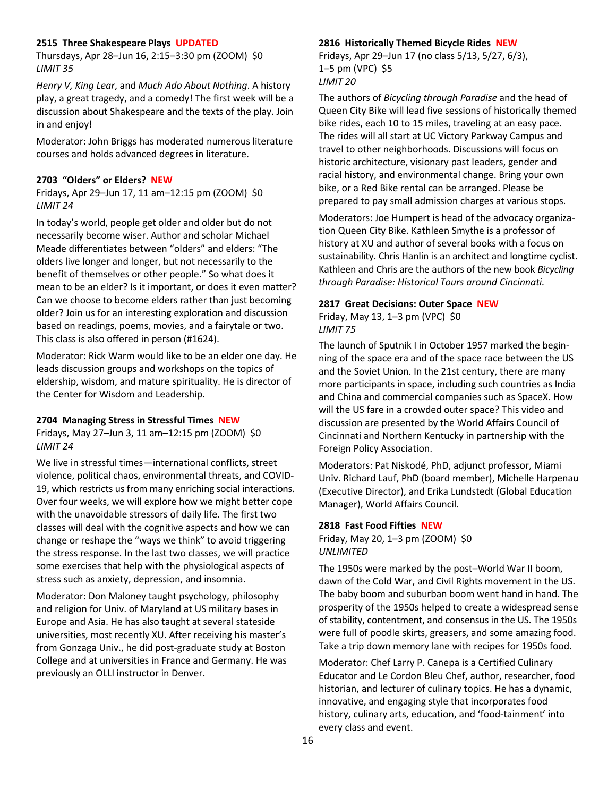#### **2515 Three Shakespeare Plays UPDATED**

Thursdays, Apr 28–Jun 16, 2:15–3:30 pm (ZOOM) \$0 *LIMIT 35*

*Henry V, King Lear*, and *Much Ado About Nothing*. A history play, a great tragedy, and a comedy! The first week will be a discussion about Shakespeare and the texts of the play. Join in and enjoy!

Moderator: John Briggs has moderated numerous literature courses and holds advanced degrees in literature.

#### **2703 "Olders" or Elders? NEW**

Fridays, Apr 29–Jun 17, 11 am–12:15 pm (ZOOM) \$0 *LIMIT 24*

In today's world, people get older and older but do not necessarily become wiser. Author and scholar Michael Meade differentiates between "olders" and elders: "The olders live longer and longer, but not necessarily to the benefit of themselves or other people." So what does it mean to be an elder? Is it important, or does it even matter? Can we choose to become elders rather than just becoming older? Join us for an interesting exploration and discussion based on readings, poems, movies, and a fairytale or two. This class is also offered in person (#1624).

Moderator: Rick Warm would like to be an elder one day. He leads discussion groups and workshops on the topics of eldership, wisdom, and mature spirituality. He is director of the Center for Wisdom and Leadership.

#### **2704 Managing Stress in Stressful Times NEW**

Fridays, May 27–Jun 3, 11 am–12:15 pm (ZOOM) \$0 *LIMIT 24*

We live in stressful times—international conflicts, street violence, political chaos, environmental threats, and COVID-19, which restricts us from many enriching social interactions. Over four weeks, we will explore how we might better cope with the unavoidable stressors of daily life. The first two classes will deal with the cognitive aspects and how we can change or reshape the "ways we think" to avoid triggering the stress response. In the last two classes, we will practice some exercises that help with the physiological aspects of stress such as anxiety, depression, and insomnia.

Moderator: Don Maloney taught psychology, philosophy and religion for Univ. of Maryland at US military bases in Europe and Asia. He has also taught at several stateside universities, most recently XU. After receiving his master's from Gonzaga Univ., he did post-graduate study at Boston College and at universities in France and Germany. He was previously an OLLI instructor in Denver.

#### **2816 Historically Themed Bicycle Rides NEW**

Fridays, Apr 29–Jun 17 (no class 5/13, 5/27, 6/3), 1–5 pm (VPC) \$5 *LIMIT 20*

The authors of *Bicycling through Paradise* and the head of Queen City Bike will lead five sessions of historically themed bike rides, each 10 to 15 miles, traveling at an easy pace. The rides will all start at UC Victory Parkway Campus and travel to other neighborhoods. Discussions will focus on historic architecture, visionary past leaders, gender and racial history, and environmental change. Bring your own bike, or a Red Bike rental can be arranged. Please be prepared to pay small admission charges at various stops.

Moderators: Joe Humpert is head of the advocacy organization Queen City Bike. Kathleen Smythe is a professor of history at XU and author of several books with a focus on sustainability. Chris Hanlin is an architect and longtime cyclist. Kathleen and Chris are the authors of the new book *Bicycling through Paradise: Historical Tours around Cincinnati.*

#### **2817 Great Decisions: Outer Space NEW**

Friday, May 13, 1–3 pm (VPC)  $$0$ *LIMIT 75*

The launch of Sputnik I in October 1957 marked the beginning of the space era and of the space race between the US and the Soviet Union. In the 21st century, there are many more participants in space, including such countries as India and China and commercial companies such as SpaceX. How will the US fare in a crowded outer space? This video and discussion are presented by the World Affairs Council of Cincinnati and Northern Kentucky in partnership with the Foreign Policy Association.

Moderators: Pat Niskodé, PhD, adjunct professor, Miami Univ. Richard Lauf, PhD (board member), Michelle Harpenau (Executive Director), and Erika Lundstedt (Global Education Manager), World Affairs Council.

#### **2818 Fast Food Fifties NEW**

Friday, May 20, 1–3 pm (ZOOM) \$0 *UNLIMITED*

The 1950s were marked by the post–World War II boom, dawn of the Cold War, and Civil Rights movement in the US. The baby boom and suburban boom went hand in hand. The prosperity of the 1950s helped to create a widespread sense of stability, contentment, and consensus in the US. The 1950s were full of poodle skirts, greasers, and some amazing food. Take a trip down memory lane with recipes for 1950s food.

Moderator: Chef Larry P. Canepa is a Certified Culinary Educator and Le Cordon Bleu Chef, author, researcher, food historian, and lecturer of culinary topics. He has a dynamic, innovative, and engaging style that incorporates food history, culinary arts, education, and 'food-tainment' into every class and event.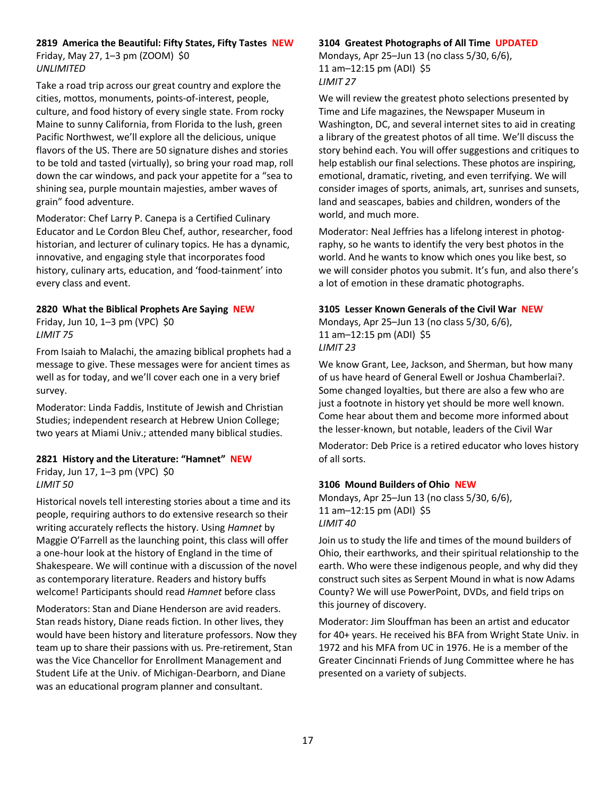# **2819 America the Beautiful: Fifty States, Fifty Tastes NEW**

Friday, May 27, 1–3 pm (ZOOM) \$0 *UNLIMITED*

Take a road trip across our great country and explore the cities, mottos, monuments, points-of-interest, people, culture, and food history of every single state. From rocky Maine to sunny California, from Florida to the lush, green Pacific Northwest, we'll explore all the delicious, unique flavors of the US. There are 50 signature dishes and stories to be told and tasted (virtually), so bring your road map, roll down the car windows, and pack your appetite for a "sea to shining sea, purple mountain majesties, amber waves of grain" food adventure.

Moderator: Chef Larry P. Canepa is a Certified Culinary Educator and Le Cordon Bleu Chef, author, researcher, food historian, and lecturer of culinary topics. He has a dynamic, innovative, and engaging style that incorporates food history, culinary arts, education, and 'food-tainment' into every class and event.

# **2820 What the Biblical Prophets Are Saying NEW**

Friday, Jun 10, 1–3 pm (VPC) \$0 *LIMIT 75*

From Isaiah to Malachi, the amazing biblical prophets had a message to give. These messages were for ancient times as well as for today, and we'll cover each one in a very brief survey.

Moderator: Linda Faddis, Institute of Jewish and Christian Studies; independent research at Hebrew Union College; two years at Miami Univ.; attended many biblical studies.

# **2821 History and the Literature: "Hamnet" NEW**

Friday, Jun 17, 1–3 pm (VPC) \$0

# *LIMIT 50*

Historical novels tell interesting stories about a time and its people, requiring authors to do extensive research so their writing accurately reflects the history. Using *Hamnet* by Maggie O'Farrell as the launching point, this class will offer a one-hour look at the history of England in the time of Shakespeare. We will continue with a discussion of the novel as contemporary literature. Readers and history buffs welcome! Participants should read *Hamnet* before class

Moderators: Stan and Diane Henderson are avid readers. Stan reads history, Diane reads fiction. In other lives, they would have been history and literature professors. Now they team up to share their passions with us. Pre-retirement, Stan was the Vice Chancellor for Enrollment Management and Student Life at the Univ. of Michigan-Dearborn, and Diane was an educational program planner and consultant.

# **3104 Greatest Photographs of All Time UPDATED**

Mondays, Apr 25–Jun 13 (no class 5/30, 6/6), 11 am–12:15 pm (ADI) \$5 *LIMIT 27*

We will review the greatest photo selections presented by Time and Life magazines, the Newspaper Museum in Washington, DC, and several internet sites to aid in creating a library of the greatest photos of all time. We'll discuss the story behind each. You will offer suggestions and critiques to help establish our final selections. These photos are inspiring, emotional, dramatic, riveting, and even terrifying. We will consider images of sports, animals, art, sunrises and sunsets, land and seascapes, babies and children, wonders of the world, and much more.

Moderator: Neal Jeffries has a lifelong interest in photography, so he wants to identify the very best photos in the world. And he wants to know which ones you like best, so we will consider photos you submit. It's fun, and also there's a lot of emotion in these dramatic photographs.

# **3105 Lesser Known Generals of the Civil War NEW**

Mondays, Apr 25–Jun 13 (no class 5/30, 6/6), 11 am–12:15 pm (ADI) \$5 *LIMIT 23*

We know Grant, Lee, Jackson, and Sherman, but how many of us have heard of General Ewell or Joshua Chamberlai?. Some changed loyalties, but there are also a few who are just a footnote in history yet should be more well known. Come hear about them and become more informed about the lesser-known, but notable, leaders of the Civil War

Moderator: Deb Price is a retired educator who loves history of all sorts.

# **3106 Mound Builders of Ohio NEW**

Mondays, Apr 25–Jun 13 (no class 5/30, 6/6), 11 am–12:15 pm (ADI) \$5 *LIMIT 40*

Join us to study the life and times of the mound builders of Ohio, their earthworks, and their spiritual relationship to the earth. Who were these indigenous people, and why did they construct such sites as Serpent Mound in what is now Adams County? We will use PowerPoint, DVDs, and field trips on this journey of discovery.

Moderator: Jim Slouffman has been an artist and educator for 40+ years. He received his BFA from Wright State Univ. in 1972 and his MFA from UC in 1976. He is a member of the Greater Cincinnati Friends of Jung Committee where he has presented on a variety of subjects.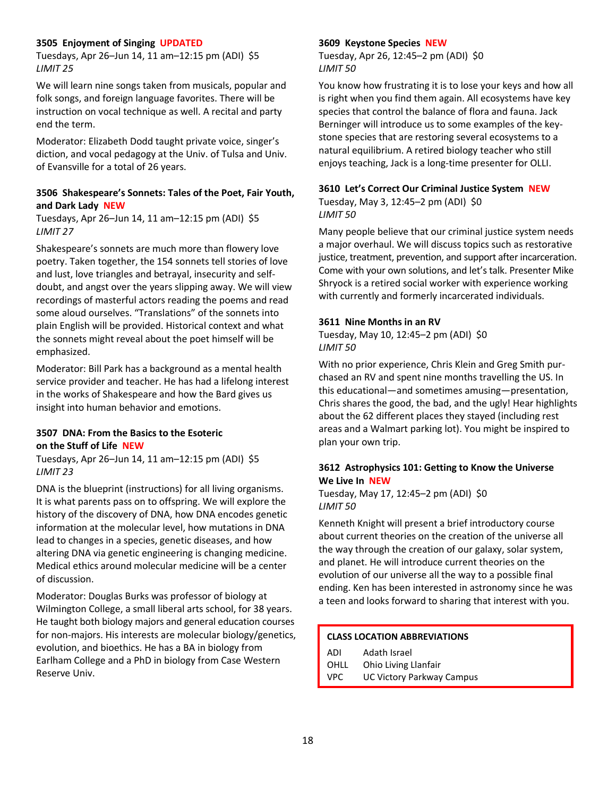# **3505 Enjoyment of Singing UPDATED**

Tuesdays, Apr 26–Jun 14, 11 am–12:15 pm (ADI) \$5 *LIMIT 25*

We will learn nine songs taken from musicals, popular and folk songs, and foreign language favorites. There will be instruction on vocal technique as well. A recital and party end the term.

Moderator: Elizabeth Dodd taught private voice, singer's diction, and vocal pedagogy at the Univ. of Tulsa and Univ. of Evansville for a total of 26 years.

# **3506 Shakespeare's Sonnets: Tales of the Poet, Fair Youth, and Dark Lady NEW**

Tuesdays, Apr 26–Jun 14, 11 am–12:15 pm (ADI) \$5 *LIMIT 27*

Shakespeare's sonnets are much more than flowery love poetry. Taken together, the 154 sonnets tell stories of love and lust, love triangles and betrayal, insecurity and selfdoubt, and angst over the years slipping away. We will view recordings of masterful actors reading the poems and read some aloud ourselves. "Translations" of the sonnets into plain English will be provided. Historical context and what the sonnets might reveal about the poet himself will be emphasized.

Moderator: Bill Park has a background as a mental health service provider and teacher. He has had a lifelong interest in the works of Shakespeare and how the Bard gives us insight into human behavior and emotions.

# **3507 DNA: From the Basics to the Esoteric on the Stuff of Life NEW**

Tuesdays, Apr 26–Jun 14, 11 am–12:15 pm (ADI) \$5 *LIMIT 23*

DNA is the blueprint (instructions) for all living organisms. It is what parents pass on to offspring. We will explore the history of the discovery of DNA, how DNA encodes genetic information at the molecular level, how mutations in DNA lead to changes in a species, genetic diseases, and how altering DNA via genetic engineering is changing medicine. Medical ethics around molecular medicine will be a center of discussion.

Moderator: Douglas Burks was professor of biology at Wilmington College, a small liberal arts school, for 38 years. He taught both biology majors and general education courses for non-majors. His interests are molecular biology/genetics, evolution, and bioethics. He has a BA in biology from Earlham College and a PhD in biology from Case Western Reserve Univ.

# **3609 Keystone Species NEW**

Tuesday, Apr 26, 12:45–2 pm (ADI) \$0 *LIMIT 50*

You know how frustrating it is to lose your keys and how all is right when you find them again. All ecosystems have key species that control the balance of flora and fauna. Jack Berninger will introduce us to some examples of the keystone species that are restoring several ecosystems to a natural equilibrium. A retired biology teacher who still enjoys teaching, Jack is a long-time presenter for OLLI.

# **3610 Let's Correct Our Criminal Justice System NEW**

Tuesday, May 3, 12:45–2 pm (ADI) \$0 *LIMIT 50*

Many people believe that our criminal justice system needs a major overhaul. We will discuss topics such as restorative justice, treatment, prevention, and support after incarceration. Come with your own solutions, and let's talk. Presenter Mike Shryock is a retired social worker with experience working with currently and formerly incarcerated individuals.

# **3611 Nine Months in an RV**

Tuesday, May 10, 12:45–2 pm (ADI) \$0 *LIMIT 50*

With no prior experience, Chris Klein and Greg Smith purchased an RV and spent nine months travelling the US. In this educational—and sometimes amusing—presentation, Chris shares the good, the bad, and the ugly! Hear highlights about the 62 different places they stayed (including rest areas and a Walmart parking lot). You might be inspired to plan your own trip.

# **3612 Astrophysics 101: Getting to Know the Universe We Live In NEW**

Tuesday, May 17, 12:45–2 pm (ADI) \$0 *LIMIT 50*

Kenneth Knight will present a brief introductory course about current theories on the creation of the universe all the way through the creation of our galaxy, solar system, and planet. He will introduce current theories on the evolution of our universe all the way to a possible final ending. Ken has been interested in astronomy since he was a teen and looks forward to sharing that interest with you.

# **CLASS LOCATION ABBREVIATIONS**

| ADI  | Adath Israel              |
|------|---------------------------|
| OHLL | Ohio Living Llanfair      |
| VPC. | UC Victory Parkway Campus |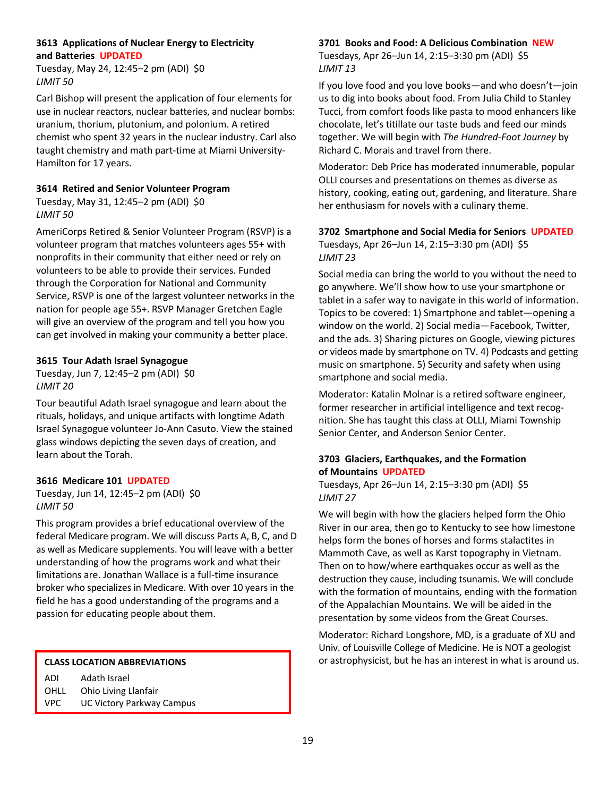# **3613 Applications of Nuclear Energy to Electricity and Batteries UPDATED**

Tuesday, May 24, 12:45–2 pm (ADI) \$0 *LIMIT 50*

Carl Bishop will present the application of four elements for use in nuclear reactors, nuclear batteries, and nuclear bombs: uranium, thorium, plutonium, and polonium. A retired chemist who spent 32 years in the nuclear industry. Carl also taught chemistry and math part-time at Miami University-Hamilton for 17 years.

# **3614 Retired and Senior Volunteer Program**

Tuesday, May 31, 12:45–2 pm (ADI) \$0 *LIMIT 50*

AmeriCorps Retired & Senior Volunteer Program (RSVP) is a volunteer program that matches volunteers ages 55+ with nonprofits in their community that either need or rely on volunteers to be able to provide their services. Funded through the Corporation for National and Community Service, RSVP is one of the largest volunteer networks in the nation for people age 55+. RSVP Manager Gretchen Eagle will give an overview of the program and tell you how you can get involved in making your community a better place.

# **3615 Tour Adath Israel Synagogue**

Tuesday, Jun 7, 12:45–2 pm (ADI) \$0 *LIMIT 20*

Tour beautiful Adath Israel synagogue and learn about the rituals, holidays, and unique artifacts with longtime Adath Israel Synagogue volunteer Jo-Ann Casuto. View the stained glass windows depicting the seven days of creation, and learn about the Torah.

# **3616 Medicare 101 UPDATED**

Tuesday, Jun 14, 12:45–2 pm (ADI) \$0 *LIMIT 50*

This program provides a brief educational overview of the federal Medicare program. We will discuss Parts A, B, C, and D as well as Medicare supplements. You will leave with a better understanding of how the programs work and what their limitations are. Jonathan Wallace is a full-time insurance broker who specializes in Medicare. With over 10 years in the field he has a good understanding of the programs and a passion for educating people about them.

| ADI  | Adath Israel              |
|------|---------------------------|
| OHLL | Ohio Living Llanfair      |
| VPC. | UC Victory Parkway Campus |

# **3701 Books and Food: A Delicious Combination NEW**

Tuesdays, Apr 26–Jun 14, 2:15–3:30 pm (ADI) \$5 *LIMIT 13*

If you love food and you love books—and who doesn't—join us to dig into books about food. From Julia Child to Stanley Tucci, from comfort foods like pasta to mood enhancers like chocolate, let's titillate our taste buds and feed our minds together. We will begin with *The Hundred-Foot Journey* by Richard C. Morais and travel from there.

Moderator: Deb Price has moderated innumerable, popular OLLI courses and presentations on themes as diverse as history, cooking, eating out, gardening, and literature. Share her enthusiasm for novels with a culinary theme.

# **3702 Smartphone and Social Media for Seniors UPDATED**

Tuesdays, Apr 26–Jun 14, 2:15–3:30 pm (ADI) \$5 *LIMIT 23*

Social media can bring the world to you without the need to go anywhere. We'll show how to use your smartphone or tablet in a safer way to navigate in this world of information. Topics to be covered: 1) Smartphone and tablet—opening a window on the world. 2) Social media—Facebook, Twitter, and the ads. 3) Sharing pictures on Google, viewing pictures or videos made by smartphone on TV. 4) Podcasts and getting music on smartphone. 5) Security and safety when using smartphone and social media.

Moderator: Katalin Molnar is a retired software engineer, former researcher in artificial intelligence and text recognition. She has taught this class at OLLI, Miami Township Senior Center, and Anderson Senior Center.

# **3703 Glaciers, Earthquakes, and the Formation of Mountains UPDATED**

Tuesdays, Apr 26–Jun 14, 2:15–3:30 pm (ADI) \$5 *LIMIT 27*

We will begin with how the glaciers helped form the Ohio River in our area, then go to Kentucky to see how limestone helps form the bones of horses and forms stalactites in Mammoth Cave, as well as Karst topography in Vietnam. Then on to how/where earthquakes occur as well as the destruction they cause, including tsunamis. We will conclude with the formation of mountains, ending with the formation of the Appalachian Mountains. We will be aided in the presentation by some videos from the Great Courses.

Moderator: Richard Longshore, MD, is a graduate of XU and Univ. of Louisville College of Medicine. He is NOT a geologist **CLASS LOCATION ABBREVIATIONS CLASS LOCATION ABBREVIATIONS** *CLASS LOCATION ABBREVIATIONS*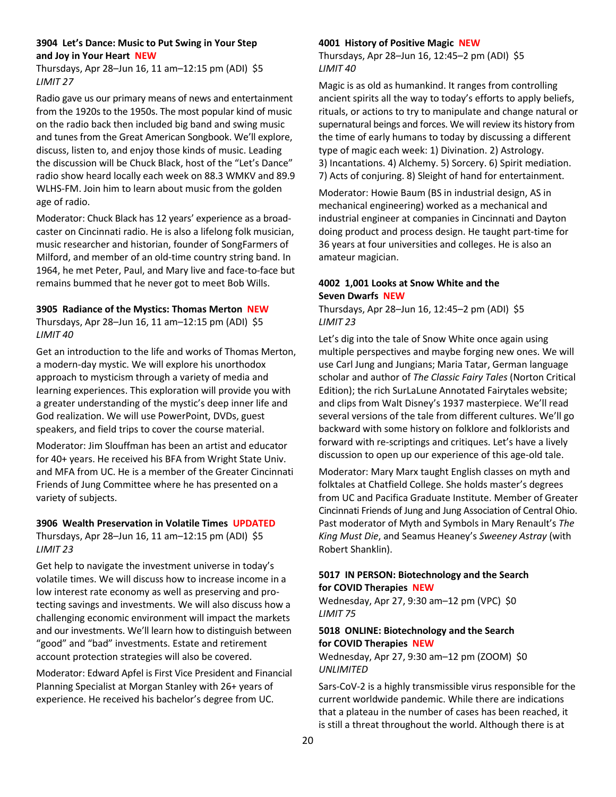# **3904 Let's Dance: Music to Put Swing in Your Step and Joy in Your Heart NEW**

Thursdays, Apr 28–Jun 16, 11 am–12:15 pm (ADI) \$5 *LIMIT 27*

Radio gave us our primary means of news and entertainment from the 1920s to the 1950s. The most popular kind of music on the radio back then included big band and swing music and tunes from the Great American Songbook. We'll explore, discuss, listen to, and enjoy those kinds of music. Leading the discussion will be Chuck Black, host of the "Let's Dance" radio show heard locally each week on 88.3 WMKV and 89.9 WLHS-FM. Join him to learn about music from the golden age of radio.

Moderator: Chuck Black has 12 years' experience as a broadcaster on Cincinnati radio. He is also a lifelong folk musician, music researcher and historian, founder of SongFarmers of Milford, and member of an old-time country string band. In 1964, he met Peter, Paul, and Mary live and face-to-face but remains bummed that he never got to meet Bob Wills.

# **3905 Radiance of the Mystics: Thomas Merton NEW**

Thursdays, Apr 28–Jun 16, 11 am–12:15 pm (ADI) \$5 *LIMIT 40*

Get an introduction to the life and works of Thomas Merton, a modern-day mystic. We will explore his unorthodox approach to mysticism through a variety of media and learning experiences. This exploration will provide you with a greater understanding of the mystic's deep inner life and God realization. We will use PowerPoint, DVDs, guest speakers, and field trips to cover the course material.

Moderator: Jim Slouffman has been an artist and educator for 40+ years. He received his BFA from Wright State Univ. and MFA from UC. He is a member of the Greater Cincinnati Friends of Jung Committee where he has presented on a variety of subjects.

# **3906 Wealth Preservation in Volatile Times UPDATED**

Thursdays, Apr 28–Jun 16, 11 am–12:15 pm (ADI) \$5 *LIMIT 23*

Get help to navigate the investment universe in today's volatile times. We will discuss how to increase income in a low interest rate economy as well as preserving and protecting savings and investments. We will also discuss how a challenging economic environment will impact the markets and our investments. We'll learn how to distinguish between "good" and "bad" investments. Estate and retirement account protection strategies will also be covered.

Moderator: Edward Apfel is First Vice President and Financial Planning Specialist at Morgan Stanley with 26+ years of experience. He received his bachelor's degree from UC.

# **4001 History of Positive Magic NEW**

Thursdays, Apr 28–Jun 16, 12:45–2 pm (ADI) \$5 *LIMIT 40*

Magic is as old as humankind. It ranges from controlling ancient spirits all the way to today's efforts to apply beliefs, rituals, or actions to try to manipulate and change natural or supernatural beings and forces. We will review its history from the time of early humans to today by discussing a different type of magic each week: 1) Divination. 2) Astrology. 3) Incantations. 4) Alchemy. 5) Sorcery. 6) Spirit mediation. 7) Acts of conjuring. 8) Sleight of hand for entertainment.

Moderator: Howie Baum (BS in industrial design, AS in mechanical engineering) worked as a mechanical and industrial engineer at companies in Cincinnati and Dayton doing product and process design. He taught part-time for 36 years at four universities and colleges. He is also an amateur magician.

# **4002 1,001 Looks at Snow White and the Seven Dwarfs NEW**

Thursdays, Apr 28–Jun 16, 12:45–2 pm (ADI) \$5 *LIMIT 23*

Let's dig into the tale of Snow White once again using multiple perspectives and maybe forging new ones. We will use Carl Jung and Jungians; Maria Tatar, German language scholar and author of *The Classic Fairy Tales* (Norton Critical Edition); the rich SurLaLune Annotated Fairytales website; and clips from Walt Disney's 1937 masterpiece. We'll read several versions of the tale from different cultures. We'll go backward with some history on folklore and folklorists and forward with re-scriptings and critiques. Let's have a lively discussion to open up our experience of this age-old tale.

Moderator: Mary Marx taught English classes on myth and folktales at Chatfield College. She holds master's degrees from UC and Pacifica Graduate Institute. Member of Greater Cincinnati Friends of Jung and Jung Association of Central Ohio. Past moderator of Myth and Symbols in Mary Renault's *The King Must Die*, and Seamus Heaney's *Sweeney Astray* (with Robert Shanklin).

# **5017 IN PERSON: Biotechnology and the Search for COVID Therapies NEW**

Wednesday, Apr 27, 9:30 am–12 pm (VPC) \$0 *LIMIT 75*

# **5018 ONLINE: Biotechnology and the Search for COVID Therapies NEW**

Wednesday, Apr 27, 9:30 am–12 pm (ZOOM) \$0 *UNLIMITED*

Sars-CoV-2 is a highly transmissible virus responsible for the current worldwide pandemic. While there are indications that a plateau in the number of cases has been reached, it is still a threat throughout the world. Although there is at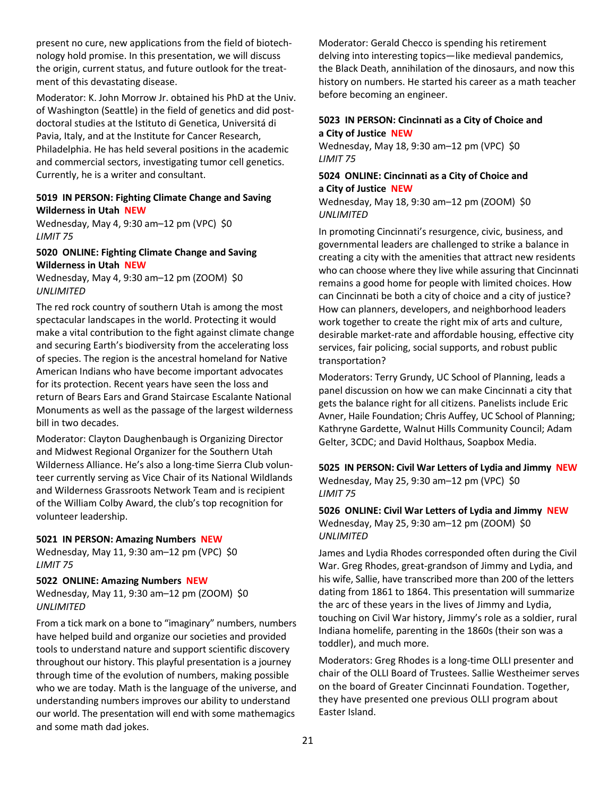present no cure, new applications from the field of biotechnology hold promise. In this presentation, we will discuss the origin, current status, and future outlook for the treatment of this devastating disease.

Moderator: K. John Morrow Jr. obtained his PhD at the Univ. of Washington (Seattle) in the field of genetics and did postdoctoral studies at the Istituto di Genetica, Universitá di Pavia, Italy, and at the Institute for Cancer Research, Philadelphia. He has held several positions in the academic and commercial sectors, investigating tumor cell genetics. Currently, he is a writer and consultant.

#### **5019 IN PERSON: Fighting Climate Change and Saving Wilderness in Utah NEW**

Wednesday, May 4, 9:30 am–12 pm (VPC) \$0 *LIMIT 75*

# **5020 ONLINE: Fighting Climate Change and Saving Wilderness in Utah NEW**

Wednesday, May 4, 9:30 am–12 pm (ZOOM) \$0 *UNLIMITED*

The red rock country of southern Utah is among the most spectacular landscapes in the world. Protecting it would make a vital contribution to the fight against climate change and securing Earth's biodiversity from the accelerating loss of species. The region is the ancestral homeland for Native American Indians who have become important advocates for its protection. Recent years have seen the loss and return of Bears Ears and Grand Staircase Escalante National Monuments as well as the passage of the largest wilderness bill in two decades.

Moderator: Clayton Daughenbaugh is Organizing Director and Midwest Regional Organizer for the Southern Utah Wilderness Alliance. He's also a long-time Sierra Club volunteer currently serving as Vice Chair of its National Wildlands and Wilderness Grassroots Network Team and is recipient of the William Colby Award, the club's top recognition for volunteer leadership.

#### **5021 IN PERSON: Amazing Numbers NEW**

Wednesday, May 11, 9:30 am–12 pm (VPC) \$0 *LIMIT 75*

#### **5022 ONLINE: Amazing Numbers NEW**

Wednesday, May 11, 9:30 am–12 pm (ZOOM) \$0 *UNLIMITED*

From a tick mark on a bone to "imaginary" numbers, numbers have helped build and organize our societies and provided tools to understand nature and support scientific discovery throughout our history. This playful presentation is a journey through time of the evolution of numbers, making possible who we are today. Math is the language of the universe, and understanding numbers improves our ability to understand our world. The presentation will end with some mathemagics and some math dad jokes.

Moderator: Gerald Checco is spending his retirement delving into interesting topics—like medieval pandemics, the Black Death, annihilation of the dinosaurs, and now this history on numbers. He started his career as a math teacher before becoming an engineer.

# **5023 IN PERSON: Cincinnati as a City of Choice and a City of Justice NEW**

Wednesday, May 18, 9:30 am–12 pm (VPC) \$0 *LIMIT 75*

# **5024 ONLINE: Cincinnati as a City of Choice and a City of Justice NEW**

Wednesday, May 18, 9:30 am–12 pm (ZOOM) \$0 *UNLIMITED*

In promoting Cincinnati's resurgence, civic, business, and governmental leaders are challenged to strike a balance in creating a city with the amenities that attract new residents who can choose where they live while assuring that Cincinnati remains a good home for people with limited choices. How can Cincinnati be both a city of choice and a city of justice? How can planners, developers, and neighborhood leaders work together to create the right mix of arts and culture, desirable market-rate and affordable housing, effective city services, fair policing, social supports, and robust public transportation?

Moderators: Terry Grundy, UC School of Planning, leads a panel discussion on how we can make Cincinnati a city that gets the balance right for all citizens. Panelists include Eric Avner, Haile Foundation; Chris Auffey, UC School of Planning; Kathryne Gardette, Walnut Hills Community Council; Adam Gelter, 3CDC; and David Holthaus, Soapbox Media.

**5025 IN PERSON: Civil War Letters of Lydia and Jimmy NEW** Wednesday, May 25, 9:30 am–12 pm (VPC) \$0 *LIMIT 75*

# **5026 ONLINE: Civil War Letters of Lydia and Jimmy NEW** Wednesday, May 25, 9:30 am–12 pm (ZOOM) \$0 *UNLIMITED*

James and Lydia Rhodes corresponded often during the Civil War. Greg Rhodes, great-grandson of Jimmy and Lydia, and his wife, Sallie, have transcribed more than 200 of the letters dating from 1861 to 1864. This presentation will summarize the arc of these years in the lives of Jimmy and Lydia, touching on Civil War history, Jimmy's role as a soldier, rural Indiana homelife, parenting in the 1860s (their son was a toddler), and much more.

Moderators: Greg Rhodes is a long-time OLLI presenter and chair of the OLLI Board of Trustees. Sallie Westheimer serves on the board of Greater Cincinnati Foundation. Together, they have presented one previous OLLI program about Easter Island.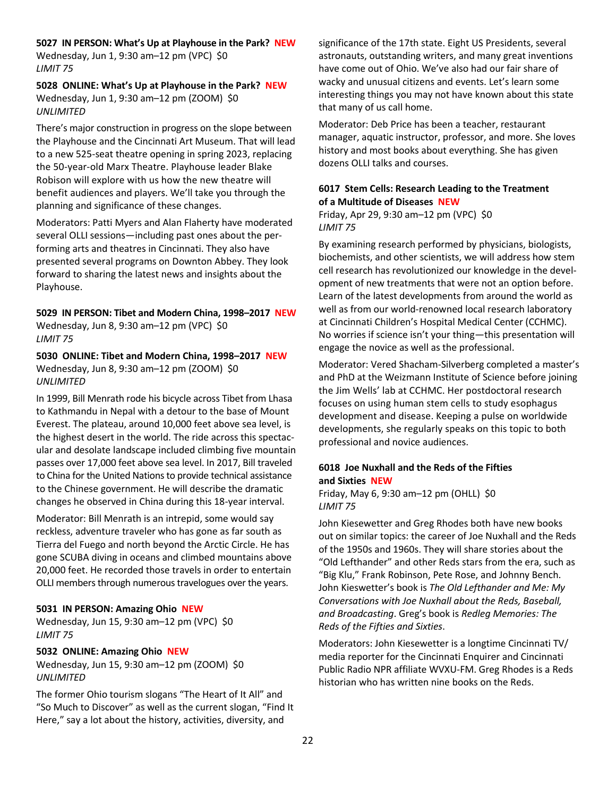#### **5027 IN PERSON: What's Up at Playhouse in the Park? NEW**

Wednesday, Jun 1, 9:30 am–12 pm (VPC) \$0 *LIMIT 75*

**5028 ONLINE: What's Up at Playhouse in the Park? NEW** Wednesday, Jun 1, 9:30 am–12 pm (ZOOM) \$0 *UNLIMITED*

There's major construction in progress on the slope between the Playhouse and the Cincinnati Art Museum. That will lead to a new 525-seat theatre opening in spring 2023, replacing the 50-year-old Marx Theatre. Playhouse leader Blake Robison will explore with us how the new theatre will benefit audiences and players. We'll take you through the planning and significance of these changes.

Moderators: Patti Myers and Alan Flaherty have moderated several OLLI sessions—including past ones about the performing arts and theatres in Cincinnati. They also have presented several programs on Downton Abbey. They look forward to sharing the latest news and insights about the Playhouse.

**5029 IN PERSON: Tibet and Modern China, 1998–2017 NEW** Wednesday, Jun 8, 9:30 am–12 pm (VPC) \$0 *LIMIT 75*

**5030 ONLINE: Tibet and Modern China, 1998–2017 NEW** Wednesday, Jun 8, 9:30 am–12 pm (ZOOM) \$0 *UNLIMITED*

In 1999, Bill Menrath rode his bicycle across Tibet from Lhasa to Kathmandu in Nepal with a detour to the base of Mount Everest. The plateau, around 10,000 feet above sea level, is the highest desert in the world. The ride across this spectacular and desolate landscape included climbing five mountain passes over 17,000 feet above sea level. In 2017, Bill traveled to China for the United Nations to provide technical assistance to the Chinese government. He will describe the dramatic changes he observed in China during this 18-year interval.

Moderator: Bill Menrath is an intrepid, some would say reckless, adventure traveler who has gone as far south as Tierra del Fuego and north beyond the Arctic Circle. He has gone SCUBA diving in oceans and climbed mountains above 20,000 feet. He recorded those travels in order to entertain OLLI members through numerous travelogues over the years.

#### **5031 IN PERSON: Amazing Ohio NEW**

Wednesday, Jun 15, 9:30 am–12 pm (VPC) \$0 *LIMIT 75*

#### **5032 ONLINE: Amazing Ohio NEW**

Wednesday, Jun 15, 9:30 am–12 pm (ZOOM) \$0 *UNLIMITED*

The former Ohio tourism slogans "The Heart of It All" and "So Much to Discover" as well as the current slogan, "Find It Here," say a lot about the history, activities, diversity, and

significance of the 17th state. Eight US Presidents, several astronauts, outstanding writers, and many great inventions have come out of Ohio. We've also had our fair share of wacky and unusual citizens and events. Let's learn some interesting things you may not have known about this state that many of us call home.

Moderator: Deb Price has been a teacher, restaurant manager, aquatic instructor, professor, and more. She loves history and most books about everything. She has given dozens OLLI talks and courses.

# **6017 Stem Cells: Research Leading to the Treatment of a Multitude of Diseases NEW**

Friday, Apr 29, 9:30 am–12 pm (VPC) \$0 *LIMIT 75*

By examining research performed by physicians, biologists, biochemists, and other scientists, we will address how stem cell research has revolutionized our knowledge in the development of new treatments that were not an option before. Learn of the latest developments from around the world as well as from our world-renowned local research laboratory at Cincinnati Children's Hospital Medical Center (CCHMC). No worries if science isn't your thing—this presentation will engage the novice as well as the professional.

Moderator: Vered Shacham-Silverberg completed a master's and PhD at the Weizmann Institute of Science before joining the Jim Wells' lab at CCHMC. Her postdoctoral research focuses on using human stem cells to study esophagus development and disease. Keeping a pulse on worldwide developments, she regularly speaks on this topic to both professional and novice audiences.

# **6018 Joe Nuxhall and the Reds of the Fifties and Sixties NEW**

Friday, May 6, 9:30 am–12 pm (OHLL) \$0 *LIMIT 75*

John Kiesewetter and Greg Rhodes both have new books out on similar topics: the career of Joe Nuxhall and the Reds of the 1950s and 1960s. They will share stories about the "Old Lefthander" and other Reds stars from the era, such as "Big Klu," Frank Robinson, Pete Rose, and Johnny Bench. John Kieswetter's book is *The Old Lefthander and Me: My Conversations with Joe Nuxhall about the Reds, Baseball, and Broadcasting*. Greg's book is *Redleg Memories: The Reds of the Fifties and Sixties*.

Moderators: John Kiesewetter is a longtime Cincinnati TV/ media reporter for the Cincinnati Enquirer and Cincinnati Public Radio NPR affiliate WVXU-FM. Greg Rhodes is a Reds historian who has written nine books on the Reds.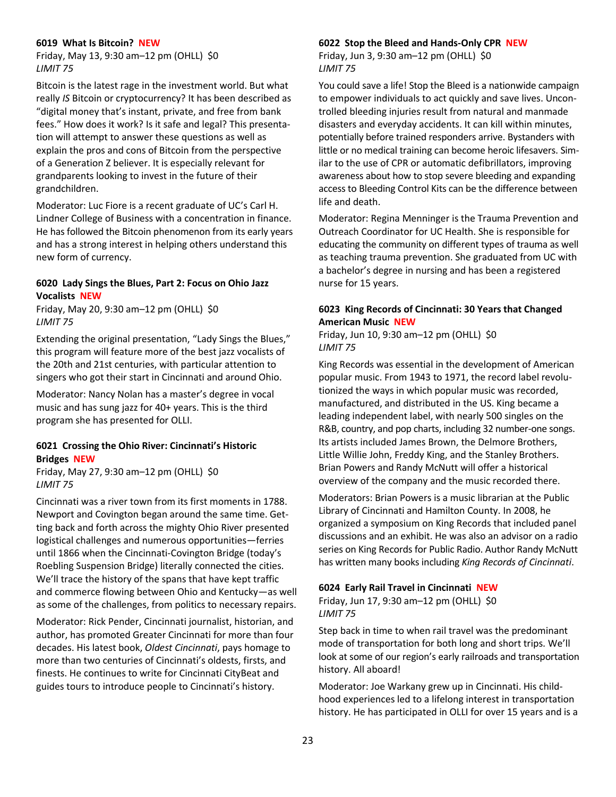#### **6019 What Is Bitcoin? NEW**

Friday, May 13, 9:30 am–12 pm (OHLL) \$0 *LIMIT 75*

Bitcoin is the latest rage in the investment world. But what really *IS* Bitcoin or cryptocurrency? It has been described as "digital money that's instant, private, and free from bank fees." How does it work? Is it safe and legal? This presentation will attempt to answer these questions as well as explain the pros and cons of Bitcoin from the perspective of a Generation Z believer. It is especially relevant for grandparents looking to invest in the future of their grandchildren.

Moderator: Luc Fiore is a recent graduate of UC's Carl H. Lindner College of Business with a concentration in finance. He has followed the Bitcoin phenomenon from its early years and has a strong interest in helping others understand this new form of currency.

#### **6020 Lady Sings the Blues, Part 2: Focus on Ohio Jazz Vocalists NEW**

Friday, May 20, 9:30 am–12 pm (OHLL) \$0 *LIMIT 75*

Extending the original presentation, "Lady Sings the Blues," this program will feature more of the best jazz vocalists of the 20th and 21st centuries, with particular attention to singers who got their start in Cincinnati and around Ohio.

Moderator: Nancy Nolan has a master's degree in vocal music and has sung jazz for 40+ years. This is the third program she has presented for OLLI.

# **6021 Crossing the Ohio River: Cincinnati's Historic Bridges NEW**

Friday, May 27, 9:30 am–12 pm (OHLL) \$0 *LIMIT 75*

Cincinnati was a river town from its first moments in 1788. Newport and Covington began around the same time. Getting back and forth across the mighty Ohio River presented logistical challenges and numerous opportunities—ferries until 1866 when the Cincinnati-Covington Bridge (today's Roebling Suspension Bridge) literally connected the cities. We'll trace the history of the spans that have kept traffic and commerce flowing between Ohio and Kentucky—as well as some of the challenges, from politics to necessary repairs.

Moderator: Rick Pender, Cincinnati journalist, historian, and author, has promoted Greater Cincinnati for more than four decades. His latest book, *Oldest Cincinnati*, pays homage to more than two centuries of Cincinnati's oldests, firsts, and finests. He continues to write for Cincinnati CityBeat and guides tours to introduce people to Cincinnati's history.

#### **6022 Stop the Bleed and Hands-Only CPR NEW**

Friday, Jun 3, 9:30 am–12 pm (OHLL) \$0 *LIMIT 75*

You could save a life! Stop the Bleed is a nationwide campaign to empower individuals to act quickly and save lives. Uncontrolled bleeding injuries result from natural and manmade disasters and everyday accidents. It can kill within minutes, potentially before trained responders arrive. Bystanders with little or no medical training can become heroic lifesavers. Similar to the use of CPR or automatic defibrillators, improving awareness about how to stop severe bleeding and expanding access to Bleeding Control Kits can be the difference between life and death.

Moderator: Regina Menninger is the Trauma Prevention and Outreach Coordinator for UC Health. She is responsible for educating the community on different types of trauma as well as teaching trauma prevention. She graduated from UC with a bachelor's degree in nursing and has been a registered nurse for 15 years.

# **6023 King Records of Cincinnati: 30 Years that Changed American Music NEW**

Friday, Jun 10, 9:30 am–12 pm (OHLL) \$0 *LIMIT 75*

King Records was essential in the development of American popular music. From 1943 to 1971, the record label revolutionized the ways in which popular music was recorded, manufactured, and distributed in the US. King became a leading independent label, with nearly 500 singles on the R&B, country, and pop charts, including 32 number-one songs. Its artists included James Brown, the Delmore Brothers, Little Willie John, Freddy King, and the Stanley Brothers. Brian Powers and Randy McNutt will offer a historical overview of the company and the music recorded there.

Moderators: Brian Powers is a music librarian at the Public Library of Cincinnati and Hamilton County. In 2008, he organized a symposium on King Records that included panel discussions and an exhibit. He was also an advisor on a radio series on King Records for Public Radio. Author Randy McNutt has written many books including *King Records of Cincinnati*.

#### **6024 Early Rail Travel in Cincinnati NEW**

Friday, Jun 17, 9:30 am–12 pm (OHLL) \$0 *LIMIT 75*

Step back in time to when rail travel was the predominant mode of transportation for both long and short trips. We'll look at some of our region's early railroads and transportation history. All aboard!

Moderator: Joe Warkany grew up in Cincinnati. His childhood experiences led to a lifelong interest in transportation history. He has participated in OLLI for over 15 years and is a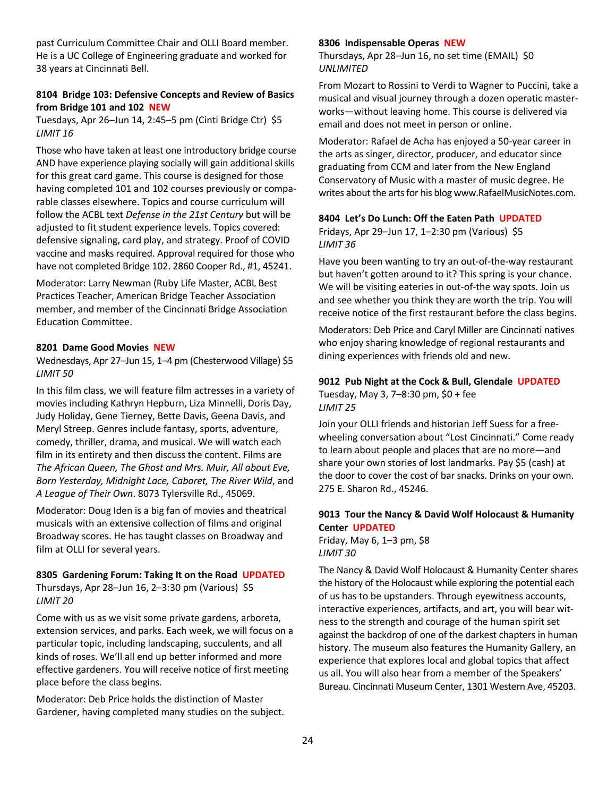past Curriculum Committee Chair and OLLI Board member. He is a UC College of Engineering graduate and worked for 38 years at Cincinnati Bell.

#### **8104 Bridge 103: Defensive Concepts and Review of Basics from Bridge 101 and 102 NEW**

Tuesdays, Apr 26–Jun 14, 2:45–5 pm (Cinti Bridge Ctr) \$5 *LIMIT 16*

Those who have taken at least one introductory bridge course AND have experience playing socially will gain additional skills for this great card game. This course is designed for those having completed 101 and 102 courses previously or comparable classes elsewhere. Topics and course curriculum will follow the ACBL text *Defense in the 21st Century* but will be adjusted to fit student experience levels. Topics covered: defensive signaling, card play, and strategy. Proof of COVID vaccine and masks required. Approval required for those who have not completed Bridge 102. 2860 Cooper Rd., #1, 45241.

Moderator: Larry Newman (Ruby Life Master, ACBL Best Practices Teacher, American Bridge Teacher Association member, and member of the Cincinnati Bridge Association Education Committee.

#### **8201 Dame Good Movies NEW**

Wednesdays, Apr 27–Jun 15, 1–4 pm (Chesterwood Village) \$5 *LIMIT 50*

In this film class, we will feature film actresses in a variety of movies including Kathryn Hepburn, Liza Minnelli, Doris Day, Judy Holiday, Gene Tierney, Bette Davis, Geena Davis, and Meryl Streep. Genres include fantasy, sports, adventure, comedy, thriller, drama, and musical. We will watch each film in its entirety and then discuss the content. Films are *The African Queen, The Ghost and Mrs. Muir, All about Eve, Born Yesterday, Midnight Lace, Cabaret, The River Wild*, and *A League of Their Own*. 8073 Tylersville Rd., 45069.

Moderator: Doug Iden is a big fan of movies and theatrical musicals with an extensive collection of films and original Broadway scores. He has taught classes on Broadway and film at OLLI for several years.

#### **8305 Gardening Forum: Taking It on the Road UPDATED**

Thursdays, Apr 28–Jun 16, 2–3:30 pm (Various) \$5 *LIMIT 20*

Come with us as we visit some private gardens, arboreta, extension services, and parks. Each week, we will focus on a particular topic, including landscaping, succulents, and all kinds of roses. We'll all end up better informed and more effective gardeners. You will receive notice of first meeting place before the class begins.

Moderator: Deb Price holds the distinction of Master Gardener, having completed many studies on the subject.

#### **8306 Indispensable Operas NEW**

Thursdays, Apr 28–Jun 16, no set time (EMAIL) \$0 *UNLIMITED*

From Mozart to Rossini to Verdi to Wagner to Puccini, take a musical and visual journey through a dozen operatic masterworks—without leaving home. This course is delivered via email and does not meet in person or online.

Moderator: Rafael de Acha has enjoyed a 50-year career in the arts as singer, director, producer, and educator since graduating from CCM and later from the New England Conservatory of Music with a master of music degree. He writes about the arts for his blog www.RafaelMusicNotes.com.

#### **8404 Let's Do Lunch: Off the Eaten Path UPDATED**

Fridays, Apr 29–Jun 17, 1–2:30 pm (Various) \$5 *LIMIT 36*

Have you been wanting to try an out-of-the-way restaurant but haven't gotten around to it? This spring is your chance. We will be visiting eateries in out-of-the way spots. Join us and see whether you think they are worth the trip. You will receive notice of the first restaurant before the class begins.

Moderators: Deb Price and Caryl Miller are Cincinnati natives who enjoy sharing knowledge of regional restaurants and dining experiences with friends old and new.

# **9012 Pub Night at the Cock & Bull, Glendale UPDATED** Tuesday, May 3, 7–8:30 pm, \$0 + fee

*LIMIT 25*

Join your OLLI friends and historian Jeff Suess for a freewheeling conversation about "Lost Cincinnati." Come ready to learn about people and places that are no more—and share your own stories of lost landmarks. Pay \$5 (cash) at the door to cover the cost of bar snacks. Drinks on your own. 275 E. Sharon Rd., 45246.

# **9013 Tour the Nancy & David Wolf Holocaust & Humanity Center UPDATED**

Friday, May 6, 1–3 pm, \$8 *LIMIT 30*

The Nancy & David Wolf Holocaust & Humanity Center shares the history of the Holocaust while exploring the potential each of us has to be upstanders. Through eyewitness accounts, interactive experiences, artifacts, and art, you will bear witness to the strength and courage of the human spirit set against the backdrop of one of the darkest chapters in human history. The museum also features the Humanity Gallery, an experience that explores local and global topics that affect us all. You will also hear from a member of the Speakers' Bureau. Cincinnati Museum Center, 1301 Western Ave, 45203.